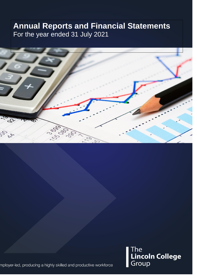# **Annual Reports and Financial Statements**  For the year ended 31 July 2021



The Line<br>**Lincoln College**<br>Group

mployer-led, producing a highly skilled and productive workforce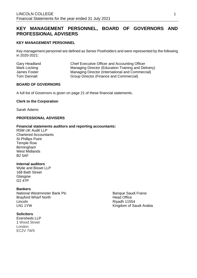## **KEY MANAGEMENT PERSONNEL, BOARD OF GOVERNORS AND PROFESSIONAL ADVISERS**

### **KEY MANAGEMENT PERSONNEL**

Key management personnel are defined as Senior Postholders and were represented by the following in 2020-2021:

| Gary Headland |  |
|---------------|--|
| Mark Locking  |  |
| James Foster  |  |
| Tom Dannatt   |  |

Chief Executive Officer and Accounting Officer Managing Director (Education Training and Delivery) Managing Director (International and Commercial) Group Director (Finance and Commercial)

#### **BOARD OF GOVERNORS**

A full list of Governors is given on page 21 of these financial statements.

#### **Clerk to the Corporation**

Sarah Adams

### **PROFESSIONAL ADVISERS**

#### **Financial statements auditors and reporting accountants:**

RSM UK Audit LLP Chartered Accountants St Phillips Point Temple Row **Birmingham** West Midlands B2 5AF

#### **Internal auditors**

Wylie and Bisset LLP 168 Bath Street **Glasgow** G2 47P

#### **Bankers**

National Westminster Bank Plc<br>Banque Saudi Fransi<br>Bravford Wharf North Bank Plc Brayford Wharf North Lincoln Riyadh 11554 LN1 1YW Kingdom of Saudi Arabia

**Solicitors** Eversheds LLP 1 Wood Street London EC2V 7WS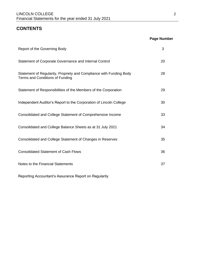## **CONTENTS**

## **Page Number**

| Report of the Governing Body                                                                           | 3  |
|--------------------------------------------------------------------------------------------------------|----|
| Statement of Corporate Governance and Internal Control                                                 | 20 |
| Statement of Regularity, Propriety and Compliance with Funding Body<br>Terms and Conditions of Funding | 28 |
| Statement of Responsibilities of the Members of the Corporation                                        | 29 |
| Independent Auditor's Report to the Corporation of Lincoln College                                     | 30 |
| Consolidated and College Statement of Comprehensive Income                                             | 33 |
| Consolidated and College Balance Sheets as at 31 July 2021                                             | 34 |
| Consolidated and College Statement of Changes in Reserves                                              | 35 |
| <b>Consolidated Statement of Cash Flows</b>                                                            | 36 |
| Notes to the Financial Statements                                                                      | 37 |

Reporting Accountant's Assurance Report on Regularity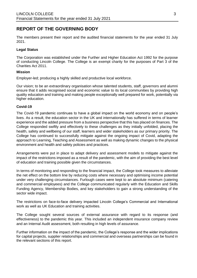## **REPORT OF THE GOVERNING BODY**

The members present their report and the audited financial statements for the year ended 31 July 2021.

#### **Legal Status**

The Corporation was established under the Further and Higher Education Act 1992 for the purpose of conducting Lincoln College. The College is an exempt charity for the purposes of Part 3 of the Charities Act 2011.

#### **Mission**

Employer-led; producing a highly skilled and productive local workforce.

Our vision; to be an extraordinary organisation whose talented students, staff, governors and alumni ensure that it adds recognised social and economic value to its local communities by providing high quality education and training and making people exceptionally well prepared for work, potentially via higher education.

#### **Covid-19**

The Covid-19 pandemic continues to have a global impact on the world economy and on people's lives. As a result, the education sector in the UK and internationally has suffered in terms of learner experience and the added pressure from a business perspective that this has placed on finances. The College responded swiftly and effectively to these challenges as they initially unfolded, placing the health, safety and wellbeing of our staff, learners and wider stakeholders as our primary priority. The College has continued to successfully mitigate against the ongoing impact of Covid, adapting the approach to Learning, Teaching and Assessment as well as making dynamic changes to the physical environment and health and safety policies and practices.

Arrangements were put in place to adapt delivery and assessment models to mitigate against the impact of the restrictions imposed as a result of the pandemic, with the aim of providing the best level of education and training possible given the circumstances.

In terms of monitoring and responding to the financial impact, the College took measures to alleviate the net effect on the bottom line by reducing costs where necessary and optimising income potential under very challenging circumstances. Furlough cases were kept to an absolute minimum (catering and commercial employees) and the College communicated regularly with the Education and Skills Funding Agency, Membership Bodies, and key stakeholders to gain a strong understanding of the sector wide impact.

The restrictions on face-to-face delivery impacted Lincoln College's Commercial and International work as well as UK Education and training activities.

The College sought several sources of external assurance with regard to its response (and effectiveness) to the pandemic this year. This included an independent insurance company review and an Internal Audit assessment, both resulting in high levels of assurance.

Further information on the impact of the pandemic, the College's response and the wider implications for capital projects, supplier relationships and commercial and overseas partnerships can be found in the relevant sections of this report.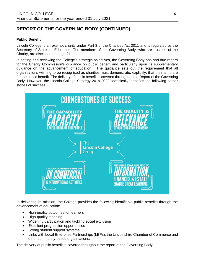### **Public Benefit**

Lincoln College is an exempt charity under Part 3 of the Charities Act 2011 and is regulated by the Secretary of State for Education. The members of the Governing Body, who are trustees of the Charity, are disclosed on page 21.

In setting and reviewing the College's strategic objectives, the Governing Body has had due regard for the Charity Commission's guidance on public benefit and particularly upon its supplementary guidance on the advancement of education. The guidance sets out the requirement that all organisations wishing to be recognised as charities must demonstrate, explicitly, that their aims are for the public benefit. The delivery of public benefit is covered throughout the Report of the Governing Body. However, the Lincoln College Strategy 2019-2022 specifically identifies the following corner stones of success:



In delivering its mission, the College provides the following identifiable public benefits through the advancement of education:

- High-quality outcomes for learners
- High-quality teaching
- Widening participation and tackling social exclusion
- Excellent progression opportunities
- Strong student support systems
- Links with Local Enterprise Partnerships (LEPs), the Lincolnshire Chamber of Commerce and other community-based organisations.

The delivery of public benefit is covered throughout the report of the Governing Body.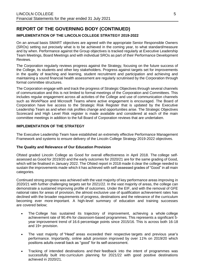## **IMPLEMENTATION OF THE LINCOLN COLLEGE STRATEGY 2019-2022**

On an annual basis SMART objectives are agreed with the appropriate Senior Responsible Owners (SROs) setting out precisely what is to be achieved in the coming year, to what standard/measure and by when. Performance against the Group objectives is tracked regularly at Executive Leadership Team Meetings, Board Meetings and with individual SROs as part of their Performance Development Reviews.

The Corporation regularly reviews progress against the Strategy, focusing on the future success of the College, its students and other key stakeholders. Progress against targets set for improvements in the quality of teaching and learning, student recruitment and participation and achieving and maintaining a sound financial health assessment are regularly scrutinised by the Corporation through formal committee structures.

The Corporation engage with and track the progress of Strategic Objectives through several channels of communication and this is not limited to formal meetings of the Corporation and Committees. This includes regular engagement across all activites of the College and use of communication channels such as WorkPlace and Microsoft Teams where active engagement is encouraged. The Board of Corporation have live access to the Strategic Risk Register that is updated by the Executive Leadership Team as and when risk profiles change and opportunities arise. The Strategic Objectives Scorecard and High Level Risk register is made available and considered at each of the main committee meetings in addition to the full Board of Corporation reviews that are undertaken.

#### **IMPLEMENTATION OF THE STRATEGY**

The Executive Leadership Team have established an extremely effective Performance Management Framework and systems to ensure delivery of the Lincoln College Strategy 2019-2022 objectives.

#### **The Quality and Relevance of Our Education Provision**

Ofsted graded Lincoln College as Good for overall effectiveness in April 2018. The college selfassessed as Good for 2019/20 and the early outcomes for 2020/21 are for the same grading of Good, which will be finalised in January 2022. The Ofsted report in 2018 made it clear the college needed to sustain the improvements made which it has achieved with self-assessed grades of "Good" in all main categories.

Continued strong progress was achieved with the vast majority of key performance areas improving in 2020/21 with further challenging targets set for 2021/22. In the vast majority of areas, the college can demonstrate a sustained improving profile of outcomes. Under the EIF, and with the removal of GFE national rates for areas of provision, the almost exclusive use of qualification achievement rates has declined with the broader requirements of progress, destinations and the relevance of the curriculum becoming ever more important. A high-level summary of education and training successes are covered below;

- The College has sustained its trajectory of improvement, achieving a whole college achievement rate of 90.4% for classroom-based programmes. This represents a significant 5 year improvement trend of 16.6 percentage points since 2015/16. This is across both 16-18 and 19+ provision.
- The vast majority of "Head" areas exceeded their respective targets and previous year's performance. Importantly, online adult provision improved by over 11% on 2019/20 which positions adults overall back as "good" for its self-assessment.
- Tracking of intended destinations and their feedback into the intent of programmes was successfully built into curriculum planning for 2021/22 with good positive destinations achieved in 2020/21.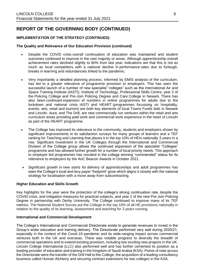### **IMPLEMENTATION OF THE STRATEGY (CONTINUED)**

#### **The Quality and Relevance of Our Education Provision (continued)**

- Despite the COVID crisis overall continuation of education was maintained and student outcomes continued to improve in the vast majority or areas. Although apprenticeship overall achievement rates declined slightly to 60% from last year, indications are that this is not as much as local competitors, with a national decline in performance rates due to furlough, breaks in learning and redundancies linked to the pandemic.
- Very importantly a detailed planning process, informed by EMSI analysis of the curriculum, has led to a greater relevance of programme provision to employers. This has seen the successful launch of a number of new specialist "colleges" such as the International Air and Space Training Institute (IASTI), Institute of Technology, Professional Skills Centre, year 2 of the Policing College and Pre-Join Policing Degree and Care College in Newark. There has also been continued expansion of numbers in online programmes for adults due to the lockdown and national crisis. IASTI and HEART (programmes focussing on hospitality, events, arts, retail and tourism) are both key elements of local Towns Funds bids in Newark and Lincoln. Aura, and The Drill, are new commercially run ventures within the retail and arts curriculum areas providing paid work and commercial work experience in the heart of Lincoln as part of the HEART programme.
- The College has improved its relevance to the community, students and employers shown by significant improvements in its satisfaction surveys for many groups of learners and a TEF ranking for Teaching and Learning that places it in the top 10% of HEIs nationally 3 years in a row. Significant investment in the UK Colleges through the International and Commercial Division of the College group allows the continued expansion of the specialist "Colleges" programme and has allowed further growth for a number of local priority needs. This approach to employer led programmes has resulted in the college winning "commended" status for its relevance to employers by the AoC Beacon Awards in October 2021.
- Significant growth in new starts for delivery of apprenticeships and adult programmes has seen the College's local and levy payer "footprint" grow which aligns it closely with the national strategy for localisation with a move away from subcontracting.

#### **Higher Education and Skills Growth**

Key highlights for the year were the protection of the college's strong continuation rate, despite the COVID crisis, and mitigation measures for practical subjects, and year 2 of the new Pre-Join Policing Degree in partnership with Derby University. The College continued to improve many of its TEF metrics. The National Student Survey put the College in the top 10% of all HE provisions nationally in relation to the quality of its learning, assessment and teaching for 3 years running.

#### **International and Commercial Development**

The College's International and Commercial Directorate exists to generate revenues to invest in the Group's wider education and training delivery. The Directorate performed very well during 2020/21, especially in the context of the Covid-19 pandemic and its wide-ranging impact across commercial ventures both in the UK and overseas. There was notable progress to diversify the breadth of commercial operations and to extend existing provision, including two exciting new projects in the UK. Lincoln College International (LLC) also performed well and has further cemented its position as a leading provider of education and training in the Kingdom of Saudi Arabia (KSA). Points of note across the Directorate were the transfer of the Drill Hall to the College, the acquisition of a leading consultancy business called Human Alchemy and securing contract extensions for two colleges in the KSA.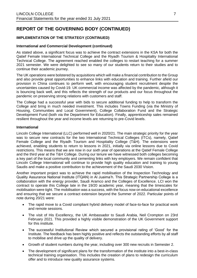### **IMPLEMENTATION OF THE STRATEGY (CONTINUED)**

#### **International and Commercial Development (continued)**

As stated above, a significant focus was to achieve the contract extensions in the KSA for both the Qatief Female International Technical College and the Riyadh Tourism & Hospitality International Technical College. The agreement reached enabled the colleges to restart teaching for a summer 2021 semester. We were delighted to see so many of our students return to their studies and to continue their academic journey.

The UK operations were bolstered by acquisitions which will make a financial contribution to the Group and also provide great opportunities to enhance links with education and training. Further afield our provision in China continues to perform well, with encouraging student recruitment despite the uncertainties caused by Covid-19. UK commercial income was affected by the pandemic, although it is bouncing back well, and this reflects the strength of our products and our focus throughout the pandemic on preserving strong relations with customers and staff.

The College had a successful year with bids to secure additional funding to help to transform the College and bring in much needed investment. This includes Towns Funding (via the Ministry of Housing, Communities and Local Government), College Collaboration Fund and the Strategic Development Fund (both via the Department for Education). Finally, apprenticeship sales remained resilient throughout the year and income levels are returning to pre-Covid levels.

#### **International**

Lincoln College International (LLC) performed well in 2020/21. The main strategic priority for the year was to secure new contracts for the two International Technical Colleges (ITCs), namely, Qatief Female College and the Riyadh Tourism and Hospitality College (T&H). The extensions were achieved, enabling students to return to lessons in 2021, initially via online lessons due to Covid restrictions. This means that we are now in our sixth year of operations at the Qatief Female College and the third year at the T&H College. During our tenure we have witnessed both colleges becoming a key part of the local community and cementing links with key employers. We remain confident that Lincoln College International will continue to provide high quality education and training to young Saudis and make a positive contribution to the achievement of the Saudi 2030 Vision.

Another important project was to achieve the rapid mobilisation of the Inspection Technology and Quality Assurance National Institute (ITQAN) in Al Juaima'h. This Strategic Partnership College is a collaboration with the energy provider, Saudi Aramco and the Colleges of Excellence. LCI won the contract to operate this College late in the 19/20 academic year, meaning that the timescales for mobilisation were tight. The mobilisation was a success, with the focus now on educational excellence and ensuring that we secure a contract extension beyond the Summer of 2022. Particular points of note during 20/21 were:

- The rapid move to a Covid compliant hybrid delivery model of face-to-face for practical work and remote sessions.
- The visit of His Excellency, the UK Ambassador to Saudi Arabia, Neil Crompton on 23rd February 2021. This provided a highly visible demonstration of the UK Government support for this institute.
- The successful Institutional Review which secured a provisional rating of 'Good' for the Institute. The feedback has been highly positive and reflects the outstanding efforts by all staff to mobilise and drive up the quality of delivery.
- Growth of student numbers during the year, including over 300 new recruits in Semester 2.
- The development of significant plans for the transformation of the institute into a best-in-class technical training organisation. This includes the creation of plans to redesign the curriculum offer and to introduce new quality assurance systems.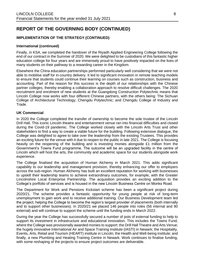### **IMPLEMENTATION OF THE STRATEGY (CONTINUED)**

#### **International (continued)**

Finally, in KSA, we completed the handover of the Riyadh Applied Engineering College following the end of our contract in the Summer of 2020. We were delighted to be custodians of this fantastic higher education college for four years and are immensely proud to have positively impacted on the lives of many students on their pathway to a rewarding career in the Kingdom.

Elsewhere the China education partnerships performed particularly well considering that we were not able to mobilise staff for in-country delivery. It led to significant innovation in remote teaching models to ensure that students could continue their learning on courses such as construction, business and accounting. Part of the reason for this success is the depth of our relationships with the Chinese partner colleges, thereby enabling a collaboration approach to resolve difficult challenges. The 2020 recruitment and enrolment of new students at the Guangdong Construction Polytechnic means that Lincoln College now works with four different Chinese partners, with the others being: The Sichuan College of Architectural Technology; Chengdu Polytechnic; and Chengdu College of Industry and Trade.

#### **UK Commercial**

In 2020 the College completed the transfer of ownership to become the sole trustee of the Lincoln Drill Hall. This iconic Lincoln theatre and entertainment venue ran into financial difficulties and closed during the Covid-19 pandemic. The College worked closely with the Lincoln Arts Trust and other stakeholders to find a way to create a viable future for the building. Following extensive dialogue, the College was delighted to agree to take over the leadership from the existing Trustees. This provides an exciting future for the venue with it due to reopen to the public in late 2021. The College is focusing heavily on the reopening of the building and is investing monies alongside £1 million from the Government's Towns Fund programme. The outcome will be an upgraded facility in the centre of Lincoln which will host the arts, the community and academic space for our students alongside work experience.

The College finalised the acquisition of Human Alchemy in March 2021. This adds significant capability to our leadership and management provision, thereby enhancing our offer to employers across the sub-region. Human Alchemy has built an excellent reputation for working with businesses to upskill their leadership teams to achieve extraordinary outcomes, for example, with the Greater Lincolnshire Local Enterprise Partnership. The acquisition provides an exciting addition to the College's portfolio of services and is housed in the new Lincoln Business Centre on Monks Road.

The Department for Work and Pensions Kickstart scheme has been a significant project during 2020/21. The scheme provides a fantastic opportunity for young people at risk of long-term unemployment to gain work and to receive additional training. Our Business Development team led the project, helping the College to become the region's largest provider of placements (both internally and to support other businesses). In 2020/21 we placed 146 people into roles (56 internal and 90 external) and will continue to support the scheme until the funding ends in March 2022.

During the year the College has successfully secured a number of pots of external funding to help to support its investment in infrastructure and educational innovation. This includes the Towns Fund, where the College was provisionally awarded monies to support: the Drill Hall Theatre and Arts Venue; the hugely innovative International Air and Space Training Institute (IASTI) in Newark; the Hospitality, Events, Arts, Retail and Tourism (HEART) institute in Lincoln; the Health and Well-being institute; and finally, a new Plumbing and Heating Training Centre in Newark. Work continues to finalise funding, with some reshaping of the projects to ensure project outcomes are deliverable.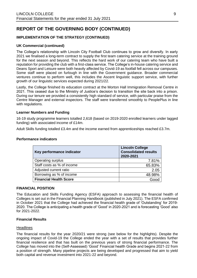## **IMPLEMENTATION OF THE STRATEGY (CONTINUED)**

#### **UK Commercial (continued)**

The College's relationship with Lincoln City Football Club continues to grow and diversify. In early 2021 we finalised a long-term contract to supply the first team catering service at the training ground for the next season and beyond. This reflects the hard work of our catering team who have built a reputation for providing the club with a first-class service. The College's in-house catering service and Deans Sport and Leisure were both heavily affected by Covid-19 as footfall fell across our campuses. Some staff were placed on furlough in line with the Government guidance. Broader commercial ventures continue to perform well, this includes the Ascent linguistic support service, with further growth of our linguistic services expected during 2021/22.

Lastly, the College finished its education contract at the Morton Hall Immigration Removal Centre in 2021. This ceased due to the Ministry of Justice's decision to transition the site back into a prison. During our tenure we provided a consistently high standard of service, with particular praise from the Centre Manager and external inspectors. The staff were transferred smoothly to PeoplePlus in line with regulations.

#### **Learner Numbers and Funding**

16-19 study programme learners totalled 2,618 (based on 2019-2020 enrolled learners under lagged funding) with associated income of £14m.

Adult Skills funding totalled £3.4m and the income earned from apprenticeships reached £3.7m.

#### **Performance indicators**

| Key performance indicator     | <b>Lincoln College</b><br><b>Consolidated results</b><br>2020-2021 |
|-------------------------------|--------------------------------------------------------------------|
| Operating surplus             | 7.81%                                                              |
| Staff costs as % of income    | 65.83%                                                             |
| Adjusted current ratio        | 2.05                                                               |
| Borrowing as % of income      | 48.98%                                                             |
| <b>Financial Health Score</b> | Good                                                               |

#### **FINANCIAL POSITION**

The Education and Skills Funding Agency (ESFA) approach to assessing the financial health of Colleges is set out in the Financial Planning Handbook (published in July 2021). The ESFA confirmed in October 2021 that the College had achieved the financial health grade of 'Outstanding' for 2019- 2020. The College is anticipating a health grade of 'Good' in 2020-2021 and is forecasting 'Good' also for 2021-2022.

### **Financial Results**

#### **Headlines**

The financial results for the year 2020/21 were strong (see below for the highlights). Despite the ongoing impact of Covid-19 the College ended the year with a set of results that provides further financial resilience and that has built on the previous years of strong financial performance. The College has moved into the (Self-Assessed) 'Good' Financial health Grade and begins 2021-22 from a position of strength. Many pipeline projects are being developed and progressed that aim to yield both capital and revenue investment into 2021-22 and beyond.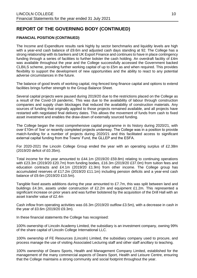### **FINANCIAL POSITION (CONTINUED)**

The Income and Expenditure results rank highly by sector benchmarks and liquidity levels are high with a year-end cash balance of £9.6m and adjusted cash days standing at 92. The College has a strong relationship with its bankers and UK Export Finance and continues to have in place contingency funding through a series of facilities to further bolster the cash holding. An overdraft facility of £4m was available throughout the year and the College successfully accessed the Government backed CLBILS scheme, providing further working capital of up to £5m as and when required. This provides flexibility to support the development of new opportunities and the ability to react to any potential adverse circumstances in the future.

The balance of good levels of working capital, ring-fenced long-finance capital and options to extend facilities brings further strength to the Group Balance Sheet.

Several capital projects were paused during 2019/20 due to the restrictions placed on the College as a result of the Covid-19 pandemic. This was due to the availability of labour through construction companies and supply chain blockages that reduced the availability of construction materials. Any sources of funding that originally applied to those projects remained available, and all projects have restarted with negotiated final delivery dates. This allows the movement of funds from cash to fixed asset investment and enables the draw-down of externally sourced funding.

The College began the most comprehensive capital programme in its history during 2020/21, with over £10m of 'live' or recently completed projects underway. The College was in a position to provide match-funding for a number of projects during 2020/21 and this facilitated access to significant external capital funding from the Towns' Fund, the GLLEP and the ESFA.

For 2020-2021 the Lincoln College Group ended the year with an operating surplus of £2.38m (2019/20 deficit of £0.35m).

Total income for the year amounted to £44.1m (2019/20 £59.8m) relating to continuing operations with £23.3m (2019/20 £20.7m) from funding bodies, £16.3m (2019/20 £37.0m) from tuition fees and education contracts and £4.1m (2019/20 £1.9m) from other income. The College group has accumulated reserves of £17.2m (2019/20 £11.1m) including pension deficits and a year-end cash balance of £9.6m (2019/20 £10.5m).

Tangible fixed assets additions during the year amounted to £7.7m, this was split between land and buildings £4.3m, assets under construction of £2.2m and equipment £1.2m. This represented a significant increase on prior years and was further bolstered by the acquisition of the Drill Hall with an asset transfer value of £2.4m

Cash inflow from operating activities was £6.3m (2019/20 outflow £3.5m), with a decrease in cash in the year of £0.6m (2019/20 £9.3m).

In these financial statements the College has recognised:

100% ownership of Lincoln Academy Limited, the subsidiary is an investment company, owning 99% of the share capital of Lincoln College International LLC.

100% ownership of FE Resources (Lincoln) Limited, the subsidiary company used to procure, and process manage the use of visiting Associated Lecturing staff and other staff ancillary to teaching.

100% ownership of Deans Sports, Health and Management Company Limited, established for the management of the many commercial aspects of Deans Sport, Health and Leisure Centre, ensuring that the College maintains a strong community and social footprint throughout the year.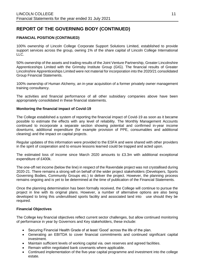### **FINANCIAL POSITION (CONTINUED)**

100% ownership of Lincoln College Corporate Support Solutions Limited, established to provide support services across the group, owning 1% of the share capital of Lincoln College International LLC.

50% ownership of the assets and trading results of the Joint Venture Partnership, Greater Lincolnshire Apprenticeships Limited with the Grimsby Institute Group (GIG). The financial results of Greater Lincolnshire Apprenticeships Limited were not material for incorporation into the 2020/21 consolidated Group Financial Statements.

100% ownership of Human Alchemy, an in-year acquisition of a former privately owner management training consultancy.

The activities and financial performance of all other subsidiary companies above have been appropriately consolidated in these financial statements.

#### **Monitoring the financial impact of Covid-19**

The College established a system of reporting the financial impact of Covid-19 as soon as it became possible to estimate the effects with any level of reliability. The Monthly Management Accounts continued to incorporate a separate section showing potential and confirmed in-year income downturns, additional expenditure (for example provision of PPE, consumables and additional cleaning) and the impact on capital projects.

Regular updates of this information were provided to the ESFA and were shared with other providers in the spirit of cooperation and to ensure lessons learned could be trapped and acted upon.

The estimated loss of income since March 2020 amounts to £3.3m with additional exceptional expenditure of £400k.

The one-off net income (below the line) in respect of the Ravendale project was not crystallised during 2020-21. There remains a strong will on behalf of the wider project stakeholders (Developers, Sports Governing Bodies, Community Groups etc.) to deliver the project. However, the planning process remains ongoing and is yet to be determined at the time of publication of the Financial Statements.

Once the planning determination has been formally received, the College will continue to pursue the project in line with its original plans. However, a number of alternative options are also being developed to bring this underutilised sports facility and associated land into use should they be required.

#### **Financial Objectives**

The College key financial objectives reflect current sector challenges, but allow continued monitoring of performance in year by Governors and Key stakeholders, these include:

- Securing Financial Health Grade of at least 'Good' across the life of the plan.
- Generating an EBITDA to cover financial commitments and continued significant capital investment.
- Maintain sufficient levels of working capital via. own reserves and agreed facilities.
- Remain within negotiated bank covenants where applicable.
- Continued implementation of the five-year capital programme and investment into the college estate.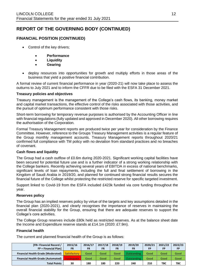## **FINANCIAL POSITION (CONTINUED)**

- Control of the key drivers;
	- **Performance**
	- **Liquidity**
	- **Gearing**
- deploy resources into opportunities for growth and multiply efforts in those areas of the business that yield a positive financial contribution.

A formal review of current financial performance in year (2020-21) will now take place to assess the outturns to July 2021 and to inform the CFFR due to be filed with the ESFA 31 December 2021.

#### **Treasury policies and objectives**

Treasury management is the management of the College's cash flows, its banking, money market and capital market transactions, the effective control of the risks associated with those activities, and the pursuit of optimum performance consistent with those risks.

Short-term borrowing for temporary revenue purposes is authorised by the Accounting Officer in line with financial regulations (fully updated and approved in December 2020). All other borrowing requires the authorisation of the Corporation.

Formal Treasury Management reports are produced twice per year for consideration by the Finance Committee. However, reference to the Groups Treasury Management activities is a regular feature of the Group monthly management accounts. Treasury Management reports throughout 2020/21 confirmed full compliance with TM policy with no deviation from standard practices and no breaches of covenant.

#### **Cash flows and liquidity**

The Group had a cash outflow of £0.6m during 2020-2021. Significant working capital facilities have been secured for potential future use and is a further indicator of a strong working relationship with the College bankers. Recently achieving several years of EBITDA in excess of national benchmarks, significant levels of loan repayments, including the full and final settlement of borrowing in the Kingdom of Saudi Arabia in 2019/20, and planned for continued strong financial results secures the financial future of the College whilst protecting the restricted reserve for specific targeted investment.

Support linked to Covid-19 from the ESFA included £423k funded via core funding throughout the year.

### **Reserves policy**

The Group has an implied reserves policy by virtue of the targets and key assumptions detailed in the financial plan (2020-2021), and clearly recognises the importance of reserves in maintaining the overall financial stability for the Group, ensuring that there are adequate reserves to support the College's core activities.

The College Group reserves include £80k held as restricted reserves. As at the balance sheet date the Income and Expenditure reserve stands at £14.1m (2020: £7.9m).

#### **Financial health**

The current and planned financial health of the Group is as follows:

| [FR= Financial Record /<br>FP = Financial Plan] | 2015/16<br><b>FR</b> | 2016/17<br><b>FR</b> | 2017/18<br>FR | 2018/19<br><b>FR</b> | 2019/20<br>FR | 2020/21<br>FP | 2021/22<br><b>FP</b> | 2022/23<br>FP |
|-------------------------------------------------|----------------------|----------------------|---------------|----------------------|---------------|---------------|----------------------|---------------|
| <b>Financial Health Grade (Moderated)</b>       | <b>Satisfactory</b>  | Good                 | Good          | Good                 | Outstanding   | Good          | Good                 | Good          |
| <b>Financial Health Grade (Automated)</b>       | Inadequate           | Good                 | Good          | Good                 | Outstanding   | Good          | Good                 | Good          |
| <b>Total Points</b>                             | 30                   | 180                  | 180           | 220                  | 240           | 210           | <b>TBC</b>           | <b>TBC</b>    |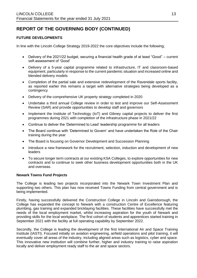### **FUTURE DEVELOPMENTS**

In line with the Lincoln College Strategy 2019-2022 the core objectives include the following;

- Delivery of the 2021/22 budget, securing a financial health grade of at least "Good" current self-assessment of 'Good'
- Delivery of a 5-year capital programme related to infrastructure, IT and classroom-based equipment, particularly in response to the current pandemic situation and increased online and blended delivery models
- Completion of the partial sale and extensive redevelopment of the Ravendale sports facility, as reported earlier this remains a target with alternative strategies being developed as a contingency
- Delivery of the comprehensive UK property strategy completed in 2020
- Undertake a third annual College review in order to test and improve our Self-Assessment Review (SAR) and provide opportunities to develop staff and governors
- Implement the Institute of Technology (IoT) and Gibney capital projects to deliver the first programmes during 2021 with completion of the infrastructure phase in 2021/22
- Continue to deliver the 'Determined to Lead' leadership programme for all leaders
- The Board continue with 'Determined to Govern' and have undertaken the Role of the Chair training during the year
- The Board is focusing on Governor Development and Succession Planning
- Introduce a new framework for the recruitment, selection, induction and development of new leaders
- To secure longer term contracts at our existing KSA Colleges, to explore opportunities for new contracts and to continue to seek other business development opportunities both in the UK and overseas.

#### **Newark Towns Fund Projects**

The College is leading two projects incorporated into the Newark Town Investment Plan and supporting two others. This plan has now received Towns Funding from central government and is being implemented.

Firstly, having successfully delivered the Construction College in Lincoln and Gainsborough, the College has expanded the concept to Newark with a construction Centre of Excellence featuring plumbing, gas training and expanded bricklaying facilities. These facilities have successfully met the needs of the local employment market, whilst increasing aspiration for the youth of Newark and providing skills for the local workplace. The first cohort of students and apprentices started training in September 2021 with the facility at full operating capability by September 2022.

Secondly, the College is leading the development of the first International Air and Space Training Institute (IASTI). Focused initially on aviation engineering, airfield operations and pilot training, it will eventually cover all areas of the industry, including aligned areas such as logistics, cyber and space. This innovative new institution will combine further, higher and industry training to raise aspiration locally and deliver employment ready staff to the air and space sectors.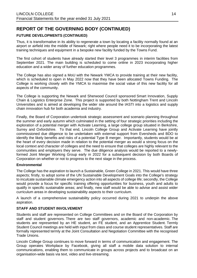### **FUTURE DEVELOPMENTS (CONTINUED)**

Thus, it is transformative in its ability to regenerate a town by locating a facility normally found at an airport or airfield into the middle of Newark; right where people need it to be incorporating the latest training techniques and equipment in a bespoke new facility funded by the Towns Fund.

The first cohort of students have already started their level 3 programmes in interim facilities from September 2021. The main building is scheduled to come online in 2023 incorporating higher education and a wider array of further education programmes.

The College has also signed a MoU with the Newark YMCA to provide training at their new facility, which is scheduled to open in May 2022 now that they have been allocated Towns Funding. The College is working closely with the YMCA to maximise the social value of this new facility for all aspects of the community.

The College is supporting the Newark and Sherwood Council sponsored Smart Innovation, Supply Chain & Logistics Enterprise Zone. This project is supported by both Nottingham Trent and Lincoln Universities and is aimed at developing the wider site around the IASTI into a logistics and supply chain innovation hub for both academia and industry.

Finally, the Board of Corporation undertook strategic assessment and scenario planning throughout the summer and early autumn which culminated in the setting of four strategic priorities including the exploration of a potential merger with Activate Learning, a large college group situated in Berkshire, Surrey and Oxfordshire. To that end, Lincoln College Group and Activate Learning have jointly commissioned due diligence to be undertaken with external support from Eversheds and BDO to identify the likely benefits and risks of a potential Type B merger. Importantly, students would be at the heart of every decision made in relation to the potential merger as would a strong focus on the local context and character of colleges and the need to ensure that colleges are highly relevant to the communities and employers they serve. The due diligence analysis would be reported to a newlyformed Joint Merger Working Group early in 2022 for a subsequent decision by both Boards of Corporation on whether or not to progress to the next stage in the process.

#### **Environmental**

The College has the aspiration to launch a Sustainable, Green College in 2021. This would have three aspects; firstly, to adopt some of the UN Sustainable Development Goals into the College's strategy to inculcate sustainable climate emergency action into all aspects of college life; secondly, the College would provide a focus for specific training offering opportunities for business, youth and adults to qualify in specific sustainable areas; and finally, new staff would be able to advise and assist wider curriculum areas in developing sustainability aspects to their curriculum.

A launch of a comprehensive sustainability policy occurred during 2021 to underpin the above aspiration.

#### **STAFF AND STUDENT INVOLVEMENT**

Students and staff are represented on College Committees and on the Board of the Corporation by staff and student governors. There are two staff governors, academic and non-academic. The students are represented by an HE student, an FE student, and an Apprentice Student. Termly Student Council meetings are held with input from class and course student representatives. Staff are formally represented termly at the Joint Consultation and Negotiation Committee with the recognised Trade Unions.

Lincoln College Group continues to move forward in terms of communication and engagement. The Group operates Workplace by Facebook, giving all staff a mobile data solution to internal communications, enabling them to communicate in groups across projects and to broadcast on an organisation-wide basis via text, video and live-streaming.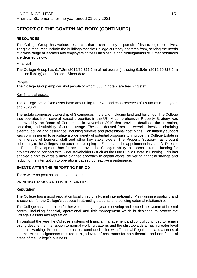### **RESOURCES**

The College Group has various resources that it can deploy in pursuit of its strategic objectives. Tangible resources include the buildings that the College currently operates from, serving the needs of a wide range of learners and employers across Lincolnshire and Nottinghamshire. Other resources are detailed below.

#### Financial

The College Group has £17.2m (2019/20 £11.1m) of net assets (including £15.6m (2019/20 £18.5m) pension liability) at the Balance Sheet date.

#### People

The College Group employs 968 people of whom 336 in note 7 are teaching staff.

#### Key financial assets

The College has a fixed asset base amounting to £54m and cash reserves of £9.6m as at the yearend 2020/21.

The Estate comprises ownership of 3 campuses in the UK, including land and buildings. The College also operates from several leased properties in the UK. A comprehensive Property Strategy was approved by the Board of Corporation in November 2019 that provides details of the utilisation, condition, and suitability of current usage. The data derived from the exercise involved obtaining external advice and assurance, including surveys and professional cost plans. Consultancy support was commissioned to articulate a wide variety of potential proposals to improve the College Estate in the interests of learners, staff and other key stakeholders. The Property Strategy has brought coherency to the Colleges approach to developing its Estate, and the appointment in year of a Director of Estates Development has further improved the Colleges ability to access external funding for projects and to connect with wider stakeholders (such as the One Public Estate in Lincoln). This has enabled a shift towards a more planned approach to capital works, delivering financial savings and reducing the interruption to operations caused by reactive maintenance.

#### **EVENTS AFTER THE REPORTING PERIOD**

There were no post balance sheet events.

### **PRINCIPAL RISKS AND UNCERTAINTIES**

#### **Reputation**

The College has a good reputation locally, regionally, and internationally. Maintaining a quality brand is essential for the College's success in attracting students and building external relationships.

The College has undertaken further work during the year to develop and embed the system of internal control, including financial, operational and risk management which is designed to protect the College's assets and reputation.

Throughout the year the Colleges systems of financial management and control continued to remain strong despite the interruption to normal working patterns and the shift towards a much greater level of on-line working. Procurement practices continued in line with Financial Regulations and a series of Internal Audit assignments resulted in high levels of assurance for both financial and non-financial areas of the College's business.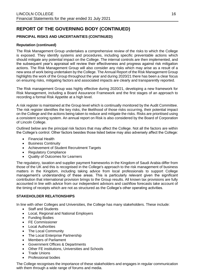## **PRINCIPAL RISKS AND UNCERTAINTIES (CONTINUED)**

#### **Reputation (continued)**

The Risk Management Group undertakes a comprehensive review of the risks to which the College is exposed. They identify systems and procedures, including specific preventable actions which should mitigate any potential impact on the College. The internal controls are then implemented, and the subsequent year's appraisal will review their effectiveness and progress against risk mitigation actions. The Risk Management Group will also consider any risks which may arise as a result of a new area of work being undertaken by the College. The Annual Report of the Risk Management Group highlights the work of the Group throughout the year and during 2020/21 there has been a clear focus on ensuring risks, mitigating factors and associated impacts are clearly and transparently reported.

The Risk management Group was highly effective during 2020/21, developing a new framework for Risk Management, including a Board Assurance Framework and the first stages of an approach to recording a formal Risk Appetite at a high level.

A risk register is maintained at the Group level which is continually monitored by the Audit Committee. The risk register identifies the key risks, the likelihood of those risks occurring, their potential impact on the College and the actions being taken to reduce and mitigate the risks. Risks are prioritised using a consistent scoring system. An annual report on Risk is also considered by the Board of Corporation of Lincoln College.

Outlined below are the principal risk factors that may affect the College. Not all the factors are within the College's control. Other factors besides those listed below may also adversely affect the College:

- Financial Health
- Business Continuity
- Achievement of Student Recruitment Targets
- Regulatory Compliance
- Quality of Outcomes for Learners

The regulatory, taxation and supplier payment frameworks in the Kingdom of Saudi Arabia differ from those of the UK and this is recognised in the College's approach to the risk management of business matters in the Kingdom, including taking advice from local professionals to support College management's understanding of these areas. This is particularly relevant given the significant contribution that international provision brings to the Group results. All known tax provisions are fully accounted in line with advice from our independent advisors and cashflow forecasts take account of the timing of receipts which are not as structured as the College's other operating activities.

#### **STAKEHOLDER RELATIONSHIPS**

In line with other Colleges and Universities, the College has many stakeholders. These include:

- Staff and Students
- Local, Regional and National Employers
- Funding Bodies
- FE Commissioner
- **Local Authorities**
- The Local Community
- The Local Enterprise Partnership
- Members of Parliament
- Government Offices & Departments
- Other FE institutions, Universities and Schools
- Trade Unions
- Professional bodies

The College recognises the importance of these stakeholders and engages in regular communication with them through a wide range of forums and media.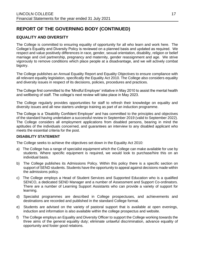## **EQUALITY AND DIVERSITY**

The College is committed to ensuring equality of opportunity for all who learn and work here. The College's Equality and Diversity Policy is reviewed on a planned basis and updated as required. We respect and value positively differences in race, gender, sexual orientation, disability, religion or belief marriage and civil partnership, pregnancy and maternity, gender reassignment and age. We strive vigorously to remove conditions which place people at a disadvantage, and we will actively combat bigotry.

The College publishes an Annual Equality Report and Equality Objectives to ensure compliance with all relevant equality legislation, specifically the Equality Act 2010. The College also considers equality and diversity issues in respect of its decisions, policies, procedures and practices.

The College first committed to the 'Mindful Employer' initiative in May 2010 to assist the mental health and wellbeing of staff. The college's next review will take place in May 2023.

The College regularly provides opportunities for staff to refresh their knowledge on equality and diversity issues and all new starters undergo training as part of an induction programme.

The College is a 'Disability Confident Employer' and has committed to the principles and objectives of the standard having undertaken a successful review in September 2019 (valid to September 2022). The College considers all employment applications from disabled persons, bearing in mind the aptitudes of the individuals concerned, and guarantees an interview to any disabled applicant who meets the essential criteria for the post.

#### **DISABILITY STATEMENT**

The College seeks to achieve the objectives set down in the Equality Act 2010:

- a) The College has a range of specialist equipment which the College can make available for use by students. Where specific equipment is required, we would look to purchase/hire this on an individual basis.
- b) The College publishes its Admissions Policy. Within this policy there is a specific section on support of SEND students. Students have the opportunity to appeal against decisions made within the admissions policy.
- c) The College employs a Head of Student Services and Supported Education who is a qualified SENCO, a dedicated SEND Manager and a number of Assessment and Support Co-ordinators. There are a number of Learning Support Assistants who can provide a variety of support for learning.
- d) Specialist programmes are described in College prospectuses, and achievements and destinations are recorded and published in the standard College format.
- e) Students are advised on the variety of pastoral support that is available at open evenings, induction and information is also available within the college prospectus and website.
- f) The College employs an Equality and Diversity Officer to support the College working towards the three aims of the general equality duty; eliminate unlawful discrimination, advance equality of opportunity and foster good relations.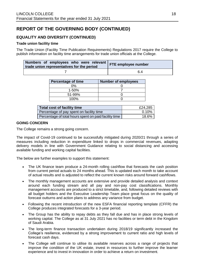## **EQUALITY AND DIVERSITY (CONTINUED)**

#### **Trade union facility time**

The Trade Union (Facility Time Publication Requirements) Regulations 2017 require the College to publish information on facility time arrangements for trade union officials at the College.

| Numbers of employees who were relevant FTE employee number<br>trade union representatives for the period |     |  |
|----------------------------------------------------------------------------------------------------------|-----|--|
|                                                                                                          | 6.4 |  |

| <b>Percentage of time</b> | <b>Number of employees</b> |
|---------------------------|----------------------------|
| ገ%                        |                            |
| $1 - 50%$                 |                            |
| 51-99%                    |                            |
| 100%                      |                            |

| <b>Total cost of facility time</b>                    | £24,285  |
|-------------------------------------------------------|----------|
| Percentage of pay spent on facility time              | $0.10\%$ |
| Percentage of total hours spent on paid facility time | 18.6%    |

#### **GOING CONCERN**

The College remains a strong going concern.

The impact of Covid-19 continued to be successfully mitigated during 2020/21 through a series of measures including reduction in expenditure linked to drops in commercial revenues, adapting delivery models in line with Government Guidance relating to social distancing and accessing available funding and working capital facilities.

The below are further examples to support this statement:

- The UK finance team produce a 24-month rolling cashflow that forecasts the cash position from current period actuals to 24 months ahead. This is updated each month to take account of actual results and is adjusted to reflect the current known risks around forward cashflows.
- The monthly management accounts are extensive and provide detailed analysis and context around each funding stream and all pay and non-pay cost classifications. Monthly management accounts are produced to a strict timetable, and, following detailed reviews with all budget holders and the Executive Leadership Team place great focus on the quality of forecast outturns and action plans to address any variance from budget.
- Following the recent introduction of the new ESFA financial reporting template (CFFR) the College produces integrated forecasts for a 3-year period.
- The Group has the ability to repay debts as they fall due and has in place strong levels of working capital. The College as at 31 July 2021 has no facilities or term debt in the Kingdom of Saudi Arabia.
- The long-term finance transaction undertaken during 2018/19 significantly increased the College's resilience, evidenced by a strong improvement to current ratio and high levels of forecast cash days.
- The College will continue to utilise its available reserves across a range of projects that improve the condition of the UK estate, invest in resources to further improve the learner experience and to invest in innovation in order to achieve a return on investment.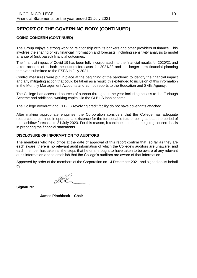### **GOING CONCERN (CONTINUED)**

The Group enjoys a strong working relationship with its bankers and other providers of finance. This involves the sharing of key financial information and forecasts, including sensitivity analysis to model a range of (risk based) financial outcomes.

The financial impact of Covid-19 has been fully incorporated into the financial results for 2020/21 and taken account of in both the outturn forecasts for 2021/22 and the longer-term financial planning template submitted to the ESFA in July 2021.

Control measures were put in place at the beginning of the pandemic to identify the financial impact and any mitigating action that could be taken as a result, this extended to inclusion of this information in the Monthly Management Accounts and ad hoc reports to the Education and Skills Agency.

The College has accessed sources of support throughout the year including access to the Furlough Scheme and additional working capital via the CLBILS loan scheme.

The College overdraft and CLBILS revolving credit facility do not have covenants attached.

After making appropriate enquiries, the Corporation considers that the College has adequate resources to continue in operational existence for the foreseeable future, being at least the period of the cashflow forecasts to 31 July 2023. For this reason, it continues to adopt the going concern basis in preparing the financial statements.

#### **DISCLOSURE OF INFORMATION TO AUDITORS**

The members who held office at the date of approval of this report confirm that, so far as they are each aware, there is no relevant audit information of which the College's auditors are unaware; and each member has taken all the steps that he or she ought to have taken to be aware of any relevant audit information and to establish that the College's auditors are aware of that information.

Approved by order of the members of the Corporation on 14 December 2021 and signed on its behalf by:

**Signature:** *……………………………………………….*

**James Pinchbeck – Chair**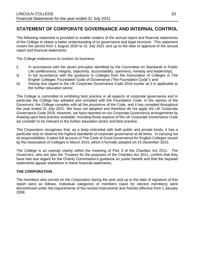## **STATEMENT OF CORPORATE GOVERNANCE AND INTERNAL CONTROL**

The following statement is provided to enable readers of the annual report and financial statements of the College to obtain a better understanding of its governance and legal structure. This statement covers the period from 1 August 2020 to 31 July 2021 and up to the date of approval of the annual report and financial statements.

The College endeavours to conduct its business:

- i) In accordance with the seven principles identified by the Committee on Standards in Public Life (selflessness, integrity, objectivity, accountability, openness, honesty and leadership);
- ii) In full accordance with the guidance to Colleges from the Association of Colleges in The English Colleges' Foundation Code of Governance ("the Foundation Code"); and
- iii) Having due regard to the UK Corporate Governance Code 2018 insofar as it is applicable to the further education sector.

The College is committed to exhibiting best practice in all aspects of corporate governance and in particular the College has adopted and complied with the Foundation Code. In the opinion of the Governors, the College complies with all the provisions of the Code, and it has complied throughout the year ended 31 July 2021. We have not adopted and therefore do not apply the UK Corporate Governance Code 2018. However, we have reported on our Corporate Governance arrangements by drawing upon best practice available, including those aspects of the UK Corporate Governance Code we consider to be relevant to the further education sector and best practice.

The Corporation recognises that, as a body entrusted with both public and private funds, it has a particular duty to observe the highest standards of corporate governance at all times. In carrying out its responsibilities, it takes full account of The Code of Good Governance for English Colleges issued by the Association of Colleges in March 2015, which it formally adopted on 15 December 2015.

The College is an exempt charity within the meaning of Part 3 of the Charities Act 2011. The Governors, who are also the Trustees for the purposes of the Charities Act 2011, confirm that they have had due regard for the Charity Commission's guidance on public benefit and that the required statements appear elsewhere in these financial statements.

#### **THE CORPORATION**

The members who served on the Corporation during the year and up to the date of signature of this report were as follows. Individual categories of members (save for elected members) were discontinued under the requirements of the revised Instruments and Articles effective from 1 January 2008.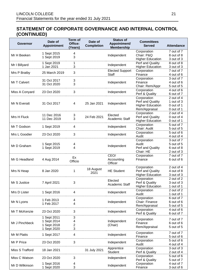| Governor        | Date of<br><b>Appointment</b> | <b>Term of</b><br>Office:<br>(Years) | Date of<br><b>Completion</b> | <b>Status of</b><br>Appointment/<br><b>Membership</b> | <b>Committees</b><br><b>Served</b> | <b>Attendance</b>        |
|-----------------|-------------------------------|--------------------------------------|------------------------------|-------------------------------------------------------|------------------------------------|--------------------------|
|                 | 1 Sept 2015                   | 4                                    |                              |                                                       | Corporation                        | 7 out of 7               |
| Mr H Beeken     | 1 Sept 2019                   | 3                                    |                              | Independent                                           | Chair: P&Q                         | 8 out of 8               |
|                 |                               |                                      |                              |                                                       | <b>Higher Education</b>            | 3 out of 3               |
| Mr I Billyard   | 1 Sept 2019                   | 1                                    |                              | Independent                                           | Perf and Quality                   | 8 out of 8               |
|                 | 1 Jan 2021                    | 3                                    |                              |                                                       | <b>Higher Education</b>            | 3 out of 3               |
| Mrs P Bratby    | 25 March 2019                 | 3                                    |                              | <b>Elected Support</b>                                | Corporation                        | 7 out of 7               |
|                 |                               |                                      |                              | Staff                                                 | Finance                            | 4 out of 6               |
| Mr T Calvert    | 31 Oct 2017                   | 3                                    |                              | Independent                                           | Corporation<br>Finance             | 3 out of 7<br>4 out of 6 |
|                 | 31 Oct 2020                   | 3                                    |                              |                                                       | Chair: Rem/Appr                    | 5 out of 5               |
|                 |                               |                                      |                              |                                                       | Corporation                        | 4 out of 6               |
| Miss A Conyard  | 23 Oct 2020                   | 3                                    |                              | Independent                                           | Perf & Quality                     | 6 out of 7               |
|                 |                               |                                      |                              |                                                       | Corporation                        | 2 out of 4               |
|                 |                               |                                      |                              |                                                       | Perf and Quality                   | 1 out of 3               |
| Mr N Everatt    | 31 Oct 2017                   | 4                                    | 25 Jan 2021                  | Independent                                           | <b>Higher Education</b>            | 0 out of 1               |
|                 |                               |                                      |                              |                                                       | Rem/Appraisal                      | 0 out of 1               |
|                 | 11 Dec 2016                   | 3                                    |                              | Elected                                               | Corporation                        | 2 out of 4               |
| Mrs H Fluck     | 11 Dec 2019                   | 3                                    | 24 Feb 2021                  | Academic Staff                                        | Perf and Quality                   | 0 out of 4               |
|                 |                               |                                      |                              |                                                       | <b>Higher Education</b>            | 0 out of 1               |
| Mr T Godson     | 1 Sept 2019                   | 4                                    |                              | Independent                                           | Corporation                        | 5 out of 7               |
|                 |                               |                                      |                              |                                                       | Chair: Audit                       | 5 out of 5               |
| Mrs L Goodier   | 23 Oct 2020                   | 3                                    |                              | Independent                                           | Corporation                        | 5 out of 6               |
|                 |                               |                                      |                              |                                                       | Audit                              | 4 out of 4               |
|                 |                               |                                      |                              |                                                       | Corporation<br>Audit               | 3 out of 7<br>5 out of 5 |
| Mr D Graham     | 1 Sept 2015<br>1 Sept 2019    | 4<br>4                               |                              | Independent                                           | Perf and Quality                   | 6 out of 8               |
|                 |                               |                                      |                              |                                                       | Chair: HE                          | 2 out of 3               |
|                 |                               |                                      |                              | CEO/                                                  | Corporation                        | 7 out of 7               |
| Mr G Headland   | 4 Aug 2014                    | Ex                                   |                              | Accounting                                            | Finance                            | 6 out of 6               |
|                 |                               | Officio                              |                              | Officer                                               |                                    |                          |
|                 |                               |                                      |                              |                                                       | Corporation                        | 2 out of 4               |
| Mrs N Heap      | 8 Jan 2020                    | 1                                    | 18 August<br>2021            | <b>HE Student</b>                                     | Perf and Quality                   | 4 out of 8               |
|                 |                               |                                      |                              |                                                       | <b>Higher Education</b>            | 3 out of 3               |
|                 |                               |                                      |                              | Elected                                               | Corporation                        | 2 out of 2               |
| Mr S Justice    | 7 April 2021                  | 3                                    |                              | Academic Staff                                        | Perf & Quality                     | 3 out of 3               |
|                 |                               |                                      |                              |                                                       | <b>Higher Education</b>            | 1 out of 1               |
| Mrs D Lister    | 1 Sept 2016                   | 4                                    |                              | Independent                                           | Corporation<br>Audit               | 2 out of 2<br>1 out of 1 |
|                 |                               |                                      |                              |                                                       | Corporation                        | 6 out of 7               |
| Mr N Lyons      | 1 Feb 2013                    | 4                                    |                              | Independent                                           | Chair: Finance                     | 6 out of 6               |
|                 | 1 Feb 2017                    | 4                                    |                              |                                                       | Rem/Appraisal                      | 5 out of 5               |
|                 |                               |                                      |                              |                                                       | Corporation                        | 4 out of 6               |
| Mr T McKenzie   | 23 Oct 2020                   | 3                                    |                              | Independent                                           | Perf & Quality                     | 6 out of 7               |
|                 | 1 Sept 2011                   | 3                                    |                              |                                                       |                                    |                          |
| Mr J Pinchbeck  | 1 Sept 2014                   | 4                                    |                              | Independent                                           | Corporation<br>Finance             | 7 out of 7<br>6 out of 6 |
|                 | 1 Sept 2018                   | $\overline{c}$                       |                              | (Chair)                                               | Rem/Appraisal                      | 5 out of 5               |
|                 | 1 Sept 2020                   | 3                                    |                              |                                                       |                                    |                          |
| Mr M Platts     | 1 Sept 2017                   | 4                                    |                              | Independent                                           | Corporation                        | 7 out of 7               |
|                 |                               |                                      |                              |                                                       | Finance                            | 5 out of 6               |
| Mr P Price      | 23 Oct 2020                   | 3                                    |                              | Independent                                           | Corporation                        | 5 out of 6               |
|                 |                               |                                      |                              |                                                       | Audit                              | 4 out of 4               |
| Miss S Trafford | 18 Jan 2021                   |                                      | 31 July 2021                 | Apprentice                                            | Corporation                        | 3 out of 3               |
|                 |                               |                                      |                              | Student                                               | Perf & Quality                     | 2 out of 4               |
| Miss C Watson   | 23 Oct 2020                   | 3                                    |                              | Independent                                           | Corporation<br>Perf & Quality      | 5 out of 6<br>5 out of 7 |
|                 | 1 Sept 2016                   | 4                                    |                              |                                                       | Corporation                        | 4 out of 7               |
| Mr D Wilkinson  | 1 Sept 2020                   | 3                                    |                              | Independent                                           | Finance                            | 3 out of 6               |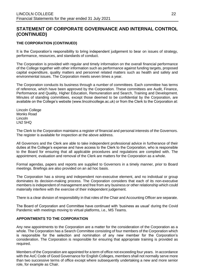### **THE CORPORATION (CONTINUED)**

It is the Corporation's responsibility to bring independent judgement to bear on issues of strategy, performance, resources, and standards of conduct.

The Corporation is provided with regular and timely information on the overall financial performance of the College together with other information such as performance against funding targets, proposed capital expenditure, quality matters and personnel related matters such as health and safety and environmental issues. The Corporation meets seven times a year.

The Corporation conducts its business through a number of committees. Each committee has terms of reference, which have been approved by the Corporation. These committees are Audit, Finance, Performance and Quality, Higher Education, Remuneration and Search, Training and Development. Minutes of standing committees, except those deemed to be confidential by the Corporation, are available on the College's website (www.lincolncollege.ac.uk) or from the Clerk to the Corporation at:

Lincoln College Monks Road Lincoln LN2 5HQ

The Clerk to the Corporation maintains a register of financial and personal interests of the Governors. The register is available for inspection at the above address.

All Governors and the Clerk are able to take independent professional advice in furtherance of their duties at the College's expense and have access to the Clerk to the Corporation, who is responsible to the Board for ensuring that all applicable procedures and regulations are complied with. The appointment, evaluation and removal of the Clerk are matters for the Corporation as a whole.

Formal agendas, papers and reports are supplied to Governors in a timely manner, prior to Board meetings. Briefings are also provided on an ad hoc basis.

The Corporation has a strong and independent non-executive element, and no individual or group dominates its decision-making process. The Corporation considers that each of its non-executive members is independent of management and free from any business or other relationship which could materially interfere with the exercise of their independent judgement.

There is a clear division of responsibility in that roles of the Chair and Accounting Officer are separate.

The Board of Corporation and Committee have continued with 'business as usual' during the Covid Pandemic with meetings moving to virtual platforms, i.e., MS Teams.

### **APPOINTMENTS TO THE CORPORATION**

Any new appointments to the Corporation are a matter for the consideration of the Corporation as a whole. The Corporation has a Search Committee consisting of four members of the Corporation which is responsible for the selection and nomination of any new member for the Corporation's consideration. The Corporation is responsible for ensuring that appropriate training is provided as required.

Members of the Corporation are appointed for a term of office not exceeding four years. In accordance with the AoC Code of Good Governance for English Colleges, members shall not normally serve more than two successive terms of office except where subsequently undertaking a new and more senior role, for example as Chair.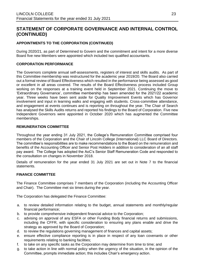## **APPOINTMENTS TO THE CORPORATION (CONTINUED)**

During 2020/21, as part of Determined to Govern and the commitment and intent for a more diverse Board five new Members were appointed which included two qualified accountants.

#### **CORPORATION PERFORMANCE**

The Governors complete annual self-assessments, registers of interest and skills audits. As part of this Committee membership was restructured for the academic year 2019/20. The Board also carried out a formal review of Board Effectiveness which resulted in the performance being assessed as good or excellent in all areas covered. The results of the Board Effectiveness process included Group working on the responses at a training event held in September 2021. Continuing the move to 'Extraordinary Governance', committee membership has been amended for the 2021/22 academic year. Three weeks have been sent aside for Quality Improvement Events which has Governor involvement and input in learning walks and engaging with students. Cross-committee attendance, and engagement at events continues and is reporting on throughout the year. The Chair of Search has analysed the Skills Audits returns and reported his findings to the Board of Corporation. Five new Independent Governors were appointed in October 2020 which has augmented the Committee memberships.

#### **REMUNERATION COMMITTEE**

Throughout the year ending 31 July 2021, the College's Remuneration Committee comprised four members of the Corporation and the Chair of Lincoln College (International) LLC Board of Directors. The committee's responsibilities are to make recommendations to the Board on the remuneration and benefits of the Accounting Officer and Senior Post Holders in addition to consideration of an all staff pay award. The College has adopted the AoC's Senior Staff Remuneration Code and responded to the consultation on changes in November 2018.

Details of remuneration for the year ended 31 July 2021 are set out in Note 7 to the financial statements.

#### **FINANCE COMMITTEE**

The Finance Committee comprises 7 members of the Corporation (including the Accounting Officer and Chair). The Committee met six times during the year.

The Corporation has delegated the Finance Committee:

- a. to review detailed information relating to the budget, annual statements and monthly/regular financial performance;
- b. to provide comprehensive independent financial advice to the Corporation;
- c. advising on approval of any ESFA or other Funding Body financial returns and submissions, including the CFFR, with specific consideration to ensuring any plans enable and drive the strategy as approved by the Board of Corporation;
- d. to review the regulations governing management of finances and capital assets;
- e. ensure effective compliance reporting is in place in respect of any loan covenants or other requirements relating to banking facilities;
- f. to take on any specific tasks as the Corporation may determine from time to time; and
- g. to take action in line with normal policy when the urgency of the situation, in the opinion of the Committee, prompts immediate action; this includes Chair's emergency action.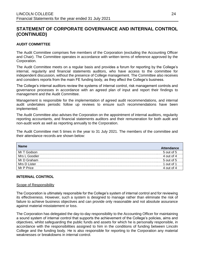### **AUDIT COMMITTEE**

The Audit Committee comprises five members of the Corporation (excluding the Accounting Officer and Chair). The Committee operates in accordance with written terms of reference approved by the Corporation.

The Audit Committee meets on a regular basis and provides a forum for reporting by the College's internal, regularity and financial statements auditors, who have access to the committee for independent discussion, without the presence of College management. The Committee also receives and considers reports from the main FE funding body, as they affect the College's business.

The College's internal auditors review the systems of internal control, risk management controls and governance processes in accordance with an agreed plan of input and report their findings to management and the Audit Committee.

Management is responsible for the implementation of agreed audit recommendations, and internal audit undertakes periodic follow up reviews to ensure such recommendations have been implemented.

The Audit Committee also advises the Corporation on the appointment of internal auditors, regularity reporting accountants, and financial statements auditors and their remuneration for both audit and non-audit work as well as reporting annually to the Corporation.

The Audit Committee met 5 times in the year to 31 July 2021. The members of the committee and their attendance records are shown below:

| <b>Name</b>   | <b>Attendance</b> |
|---------------|-------------------|
| Mr T Godson   | 5 out of 5        |
| Mrs L Goodier | 4 out of 4        |
| Mr D Graham   | $5$ out of $5$    |
| Mrs D Lister  | 1 out of 1        |
| Mr P Price    | 4 out of 4        |

#### **INTERNAL CONTROL**

#### Scope of Responsibility

The Corporation is ultimately responsible for the College's system of internal control and for reviewing its effectiveness. However, such a system is designed to manage rather than eliminate the risk of failure to achieve business objectives and can provide only reasonable and not absolute assurance against material misstatement or loss.

The Corporation has delegated the day-to-day responsibility to the Accounting Officer for maintaining a sound system of internal control that supports the achievement of the College's policies, aims and objectives, whilst safeguarding the public funds and assets for which he is personally responsible, in accordance with the responsibilities assigned to him in the conditions of funding between Lincoln College and the funding body. He is also responsible for reporting to the Corporation any material weaknesses or breakdowns in internal control.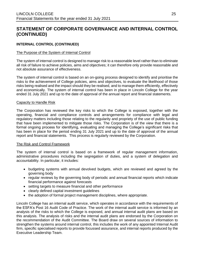### **INTERNAL CONTROL (CONTINUED)**

#### The Purpose of the System of Internal Control

The system of internal control is designed to manage risk to a reasonable level rather than to eliminate all risk of failure to achieve policies, aims and objectives; it can therefore only provide reasonable and not absolute assurance of effectiveness.

The system of internal control is based on an on-going process designed to identify and prioritise the risks to the achievement of College policies, aims and objectives, to evaluate the likelihood of those risks being realised and the impact should they be realised, and to manage them efficiently, effectively and economically. The system of internal control has been in place in Lincoln College for the year ended 31 July 2021 and up to the date of approval of the annual report and financial statements.

#### Capacity to Handle Risk

The Corporation has reviewed the key risks to which the College is exposed, together with the operating, financial and compliance controls and arrangements for compliance with legal and regulatory matters including those relating to the regularity and propriety of the use of public funding that have been implemented to mitigate those risks. The Corporation is of the view that there is a formal ongoing process for identifying, evaluating and managing the College's significant risks that has been in place for the period ending 31 July 2021 and up to the date of approval of the annual report and financial statements. This process is regularly reviewed by the Corporation.

#### The Risk and Control Framework

The system of internal control is based on a framework of regular management information, administrative procedures including the segregation of duties, and a system of delegation and accountability. In particular, it includes:

- budgeting systems with annual devolved budgets, which are reviewed and agreed by the governing body
- regular reviews by the governing body of periodic and annual financial reports which indicate financial performance against forecasts
- setting targets to measure financial and other performance
- clearly defined capital investment guidelines
- the adoption of formal project management disciplines, where appropriate.

Lincoln College has an internal audit service, which operates in accordance with the requirements of the ESFA's Post 16 Audit Code of Practice. The work of the internal audit service is informed by an analysis of the risks to which the College is exposed, and annual internal audit plans are based on this analysis. The analysis of risks and the internal audit plans are endorsed by the Corporation on the recommendation of the Audit Committee. The Board draw on several sources of information to strengthen the systems around internal control, this includes the work of any appointed Internal Audit firm, specific specialised reports to provide focussed assurance, and internal reports produced by the Executive Leadership Team.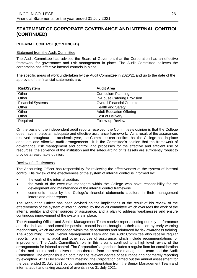### **INTERNAL CONTROL (CONTINUED)**

#### Statement from the Audit Committee

The Audit Committee has advised the Board of Governors that the Corporation has an effective framework for governance and risk management in place. The Audit Committee believes the corporation has effective internal controls in place.

The specific areas of work undertaken by the Audit Committee in 2020/21 and up to the date of the approval of the financial statements are:

| <b>Risk/System</b>       | <b>Audit Area</b>                 |
|--------------------------|-----------------------------------|
| Other                    | <b>Curriculum Planning</b>        |
| Other                    | In-House Catering Provision       |
| <b>Financial Systems</b> | <b>Overall Financial Controls</b> |
| Other                    | <b>Health and Safety</b>          |
| Other                    | <b>Adult Education Offering</b>   |
| Other                    | Cost of Delivery                  |
| Required                 | Follow-up Review                  |

On the basis of the independent audit reports received, the Committee's opinion is that the College does have in place an adequate and effective assurance framework. As a result of the assurances received throughout the academic year, the Committee can confirm that the College has in place adequate and effective audit arrangements. It is the Committee's opinion that the framework of governance, risk management and control, and processes for the effective and efficient use of resources, the solvency of the institution and the safeguarding of its assets are sufficiently robust to provide a reasonable opinion.

#### Review of effectiveness

The Accounting Officer has responsibility for reviewing the effectiveness of the system of internal control. His review of the effectiveness of the system of internal control is informed by:

- the work of the internal auditors
- the work of the executive managers within the College who have responsibility for the development and maintenance of the internal control framework
- comments made by the College's financial statements auditors in their management letters and other reports.

The Accounting Officer has been advised on the implications of the result of his review of the effectiveness of the system of internal control by the audit committee which oversees the work of the internal auditor and other sources of assurance, and a plan to address weaknesses and ensure continuous improvement of the system is in place.

The Accounting Officer and Senior Management Team receive reports setting out key performance and risk indicators and consider possible control issues brought to their attention by early warning mechanisms, which are embedded within the departments and reinforced by risk awareness training. The Accounting Officer, Senior Management Team and the Audit Committee also receive regular reports from internal audit and other sources of assurance, which include recommendations for improvement. The Audit Committee's role in this area is confined to a high-level review of the arrangements for internal control. The Corporation's agenda includes a regular item for consideration of risk and control and receives reports thereon from the senior management team and the Audit Committee. The emphasis is on obtaining the relevant degree of assurance and not merely reporting by exception. At its December 2021 meeting, the Corporation carried out the annual assessment for the year ended 31 July 2021 by considering documentation from the Senior Management Team and internal audit and taking account of events since 31 July 2021.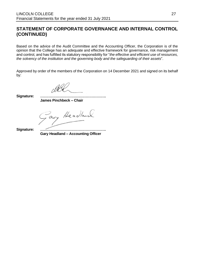Based on the advice of the Audit Committee and the Accounting Officer, the Corporation is of the opinion that the College has an adequate and effective framework for governance, risk management and control, and has fulfilled its statutory responsibility for "*the effective and efficient use of resources, the solvency of the institution and the governing body and the safeguarding of their assets*".

Approved by order of the members of the Corporation on 14 December 2021 and signed on its behalf by:

**Signature: ……………………………………………….** 

**James Pinchbeck – Chair**

ary Headlanch.

**Signature: ………………………………………………. Gary Headland – Accounting Officer**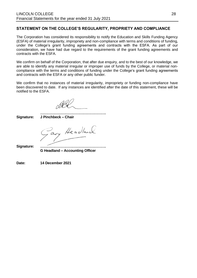### **STATEMENT ON THE COLLEGE'S REGULARITY, PROPRIETY AND COMPLIANCE**

The Corporation has considered its responsibility to notify the Education and Skills Funding Agency (ESFA) of material irregularity, impropriety and non-compliance with terms and conditions of funding, under the College's grant funding agreements and contracts with the ESFA. As part of our consideration, we have had due regard to the requirements of the grant funding agreements and contracts with the ESFA.

We confirm on behalf of the Corporation, that after due enquiry, and to the best of our knowledge, we are able to identify any material irregular or improper use of funds by the College, or material noncompliance with the terms and conditions of funding under the College's grant funding agreements and contracts with the ESFA or any other public funder.

We confirm that no instances of material irregularity, impropriety or funding non-compliance have been discovered to date. If any instances are identified after the date of this statement, these will be notified to the ESFA.

**………………………………………………. Signature: J Pinchbeck – Chair**

ary Headland.

**Signature: ………………………………………………. G Headland – Accounting Officer**

**Date: 14 December 2021**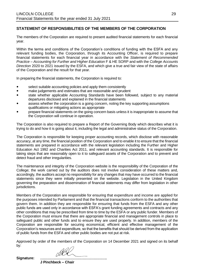## **STATEMENT OF RESPONSIBILITIES OF THE MEMBERS OF THE CORPORATION**

The members of the Corporation are required to present audited financial statements for each financial year.

Within the terms and conditions of the Corporation's conditions of funding with the ESFA and any relevant funding bodies, the Corporation, through its Accounting Officer, is required to prepare financial statements for each financial year in accordance with the *Statement of Recommended Practice – Accounting for Further and Higher Education* F & HE SORP and with the *College Accounts Direction* 2020 to 2021 issued by the ESFA, and which give a true and fair view of the state of affairs of the Corporation and the result for that year.

In preparing the financial statements, the Corporation is required to:

- select suitable accounting policies and apply them consistently
- make judgements and estimates that are reasonable and prudent
- state whether applicable Accounting Standards have been followed, subject to any material departures disclosed and explained in the financial statements
- assess whether the corporation is a going concern, noting the key supporting assumptions qualifications or mitigating actions as appropriate
- prepare financial statements on the going concern basis unless it is inappropriate to assume that the Corporation will continue in operation.

The Corporation is also required to prepare a Report of the Governing Body which describes what it is trying to do and how it is going about it, including the legal and administrative status of the Corporation.

The Corporation is responsible for keeping proper accounting records, which disclose with reasonable accuracy, at any time, the financial position of the Corporation and to enable it to ensure that the financial statements are prepared in accordance with the relevant legislation including the Further and Higher Education Act 1992 and Charities Act 2011, and relevant accounting standards. It is responsible for taking steps that are reasonably open to it to safeguard assets of the Corporation and to prevent and detect fraud and other irregularities.

The maintenance and integrity of the Corporation website is the responsibility of the Corporation of the College; the work carried out by the auditors does not involve consideration of these matters and, accordingly, the auditors accept no responsibility for any changes that may have occurred to the financial statements since they were initially presented on the website. Legislation in the United Kingdom governing the preparation and dissemination of financial statements may differ from legislation in other jurisdictions.

Members of the Corporation are responsible for ensuring that expenditure and income are applied for the purposes intended by Parliament and that the financial transactions conform to the authorities that govern them. In addition they are responsible for ensuring that funds from the ESFA and any other public funds are used only in accordance with ESFA's grant funding agreements and contracts and any other conditions that may be prescribed from time to time by the ESFA or any public funder. Members of the Corporation must ensure that there are appropriate financial and management controls in place to safeguard public and other funds and to ensure they are used properly. In addition, members of the Corporation are responsible for securing economical, efficient and effective management of the Corporation's resources and expenditure, so that the benefits that should be derived from the application of public funds from the ESFA and other public bodies are not put at risk.

Approved by order of the members of the Corporation on 14 December 2021 and signed on its behalf by:

**Signature: ……………………………………………….** 

**J Pinchbeck – Chair**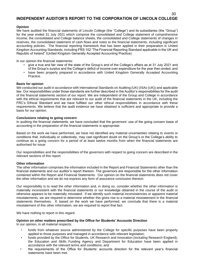### **INDEPENDENT AUDITOR'S REPORT TO THE CORPORATION OF LINCOLN COLLEGE**

#### **Opinion**

We have audited the financial statements of Lincoln College (the "College") and its subsidiaries (the "Group") for the year ended 31 July 2021 which comprise the consolidated and College statement of comprehensive income, the consolidated and College balance sheets, the consolidated and College statements of changes in reserves, the consolidated statement of cash flows and notes to the financial statements, including significant accounting policies. The financial reporting framework that has been applied in their preparation is United Kingdom Accounting Standards, including FRS 102 "The Financial Reporting Standard applicable in the UK and Republic of Ireland" (United Kingdom Generally Accepted Accounting Practice).

In our opinion the financial statements:

- give a true and fair view of the state of the Group's and of the College's affairs as at 31 July 2021 and of the Group's surplus and the College's deficit of income over expenditure for the year then ended; and
- have been properly prepared in accordance with United Kingdom Generally Accepted Accounting Practice.

#### **Basis for opinion**

We conducted our audit in accordance with International Standards on Auditing (UK) (ISAs (UK)) and applicable law. Our responsibilities under those standards are further described in the Auditor's responsibilities for the audit of the financial statements section of our report. We are independent of the Group and College in accordance with the ethical requirements that are relevant to our audit of the financial statements in the UK, including the FRC's Ethical Standard and we have fulfilled our other ethical responsibilities in accordance with these requirements. We believe that the audit evidence we have obtained is sufficient and appropriate to provide a basis for our opinion.

#### **Conclusions relating to going concern**

In auditing the financial statements, we have concluded that the governors' use of the going concern basis of accounting in the preparation of the financial statements is appropriate.

Based on the work we have performed, we have not identified any material uncertainties relating to events or conditions that, individually or collectively, may cast significant doubt on the Group's or the College's ability to continue as a going concern for a period of at least twelve months from when the financial statements are authorised for issue.

Our responsibilities and the responsibilities of the governors with respect to going concern are described in the relevant sections of this report.

#### **Other information**

The other information comprises the information included in the Report and Financial Statements other than the financial statements and our auditor's report thereon. The governors are responsible for the other information contained within the Report and Financial Statements. Our opinion on the financial statements does not cover the other information and we do not express any form of assurance conclusion thereon.

Our responsibility is to read the other information and, in doing so, consider whether the other information is materially inconsistent with the financial statements or our knowledge obtained in the course of the audit or otherwise appears to be materially misstated. If we identify such material inconsistencies or apparent material misstatements, we are required to determine whether this gives rise to a material misstatement in the financial statements themselves. If, based on the work we have performed, we conclude that there is a material misstatement of this other information, we are required to report that fact.

We have nothing to report in this regard.

#### **Opinion on other matters prescribed by the Office for Students' Accounts Direction**

In our opinion, in all material respects:

- funds from whatever source administered by the College for specific purposes have been properly applied to those purposes and managed in accordance with relevant legislation;
- funds provided by the Office for Students, UK Research and Innovation (including Research England), the Education and Skills Funding Agency and Department for Education have been applied in accordance with the relevant terms and conditions; and
- the requirements of the Office for Students' accounts direction for the relevant year's financial statements have been met.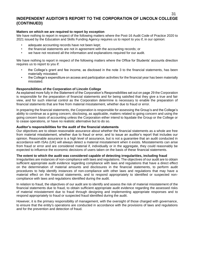#### 31 **INDEPENDENT AUDITOR'S REPORT TO THE CORPORATION OF LINCOLN COLLEGE (CONTINUED)**

#### **Matters on which we are required to report by exception**

We have nothing to report in respect of the following matters where the Post-16 Audit Code of Practice 2020 to 2021 issued by the Education and Skills Funding Agency requires us to report to you if, in our opinion:

- adequate accounting records have not been kept;
- the financial statements are not in agreement with the accounting records; or
- we have not received all the information and explanations required for our audit.

We have nothing to report in respect of the following matters where the Office for Students' accounts direction requires us to report to you if:

- the College's grant and fee income, as disclosed in the note 3 to the financial statements, has been materially misstated.
- the College's expenditure on access and participation activities for the financial year has been materially misstated.

#### **Responsibilities of the Corporation of Lincoln College**

As explained more fully in the Statement of the Corporation's Responsibilities set out on page 29 the Corporation is responsible for the preparation of financial statements and for being satisfied that they give a true and fair view, and for such internal control as the Corporation determine is necessary to enable the preparation of financial statements that are free from material misstatement, whether due to fraud or error.

In preparing the financial statements, the Corporation is responsible for assessing the Group's and the College's ability to continue as a going concern, disclosing, as applicable, matters related to going concern and using the going concern basis of accounting unless the Corporation either intend to liquidate the Group or the College or to cease operations, or have no realistic alternative but to do so.

#### **Auditor's responsibilities for the audit of the financial statements**

Our objectives are to obtain reasonable assurance about whether the financial statements as a whole are free from material misstatement, whether due to fraud or error, and to issue an auditor's report that includes our opinion. Reasonable assurance is a high level of assurance, but is not a guarantee that an audit conducted in accordance with ISAs (UK) will always detect a material misstatement when it exists. Misstatements can arise from fraud or error and are considered material if, individually or in the aggregate, they could reasonably be expected to influence the economic decisions of users taken on the basis of these financial statements.

#### **The extent to which the audit was considered capable of detecting irregularities, including fraud**

Irregularities are instances of non-compliance with laws and regulations. The objectives of our audit are to obtain sufficient appropriate audit evidence regarding compliance with laws and regulations that have a direct effect on the determination of material amounts and disclosures in the financial statements, to perform audit procedures to help identify instances of non-compliance with other laws and regulations that may have a material effect on the financial statements, and to respond appropriately to identified or suspected noncompliance with laws and regulations identified during the audit.

In relation to fraud, the objectives of our audit are to identify and assess the risk of material misstatement of the financial statements due to fraud, to obtain sufficient appropriate audit evidence regarding the assessed risks of material misstatement due to fraud through designing and implementing appropriate responses and to respond appropriately to fraud or suspected fraud identified during the audit.

However, it is the primary responsibility of management, with the oversight of those charged with governance, to ensure that the entity's operations are conducted in accordance with the provisions of laws and regulations and for the prevention and detection of fraud.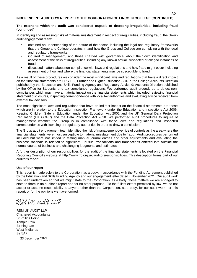#### **The extent to which the audit was considered capable of detecting irregularities, including fraud (continued)**

In identifying and assessing risks of material misstatement in respect of irregularities, including fraud, the Group audit engagement team:

- obtained an understanding of the nature of the sector, including the legal and regulatory frameworks that the Group and College operates in and how the Group and College are complying with the legal and regulatory frameworks;
- inquired of management, and those charged with governance, about their own identification and assessment of the risks of irregularities, including any known actual, suspected or alleged instances of fraud;
- discussed matters about non-compliance with laws and regulations and how fraud might occur including assessment of how and where the financial statements may be susceptible to fraud.

As a result of these procedures we consider the most significant laws and regulations that have a direct impact on the financial statements are FRS 102, Further and Higher Education SORP, the College Accounts Direction published by the Education and Skills Funding Agency and Regulatory Advice 9: Accounts Direction published by the Office for Students' and tax compliance regulations. We performed audit procedures to detect noncompliances which may have a material impact on the financial statements which included reviewing financial statement disclosures, inspecting correspondence with local tax authorities and evaluating advice received from external tax advisors.

The most significant laws and regulations that have an indirect impact on the financial statements are those which are in relation to the Education Inspection Framework under the Education and Inspections Act 2006, Keeping Children Safe in Education under the Education Act 2002 and the UK General Data Protection Regulation (UK GDPR) and the Data Protection Act 2018. We performed audit procedures to inquire of management whether the Group is in compliance with these laws and regulations and inspected correspondence with licensing or regulatory authorities in order to draw a conclusion.

The Group audit engagement team identified the risk of management override of controls as the area where the financial statements were most susceptible to material misstatement due to fraud. Audit procedures performed included but were not limited to testing manual journal entries and other adjustments and evaluating the business rationale in relation to significant, unusual transactions and transactions entered into outside the normal course of business and challenging judgments and estimates.

A further description of our responsibilities for the audit of the financial statements is located on the Financial Reporting Council's website at http://www.frc.org.uk/auditorsresponsibilities. This description forms part of our auditor's report.

#### **Use of our report**

This report is made solely to the Corporation, as a body, in accordance with the Funding Agreement published by the Education and Skills Funding Agency and our engagement letter dated 4 November 2021. Our audit work has been undertaken so that we might state to the Corporation, as a body, those matters we are engaged to state to them in an auditor's report and for no other purpose. To the fullest extent permitted by law, we do not accept or assume responsibility to anyone other than the Corporation, as a body, for our audit work, for this report, or for the opinions we have formed.

RSM UK Audit LLP

RSM UK AUDIT LLP Chartered Accountants St Philips Point Temple Row Birmingham West Midlands B2 5AF 23 December 2021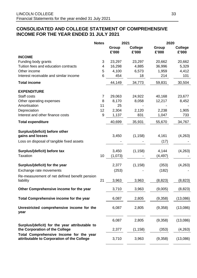## **CONSOLIDATED AND COLLEGE STATEMENT OF COMPREHENSIVE INCOME FOR THE YEAR ENDED 31 JULY 2021**

|                                                                                       | <b>Notes</b> | 2021           |                         | 2020           |                         |  |
|---------------------------------------------------------------------------------------|--------------|----------------|-------------------------|----------------|-------------------------|--|
|                                                                                       |              | Group<br>£'000 | <b>College</b><br>£'000 | Group<br>£'000 | <b>College</b><br>£'000 |  |
| <b>INCOME</b>                                                                         |              |                |                         |                |                         |  |
| Funding body grants                                                                   | 3            | 23,297         | 23,297                  | 20,662         | 20,662                  |  |
| Tuition fees and education contracts                                                  | 4            | 16,298         | 4,885                   | 36,996         | 5,329                   |  |
| Other income                                                                          | 5            | 4,100          | 6,573                   | 1,959          | 4,412                   |  |
| Interest receivable and similar income                                                | 6            | 454            | 18                      | 214            | 101                     |  |
| <b>Total income</b>                                                                   |              | 44,149         | 34,773                  | 59,831         | 30,504                  |  |
| <b>EXPENDITURE</b>                                                                    |              |                |                         |                |                         |  |
| Staff costs                                                                           | 7            | 29,063         | 24,922                  | 40,168         | 23,677                  |  |
| Other operating expenses                                                              | 8            | 8,170          | 8,058                   | 12,217         | 8,452                   |  |
| Amortisation                                                                          | 11           | 25             |                         |                |                         |  |
| Depreciation<br>Interest and other finance costs                                      | 12<br>9      | 2,304          | 2,120                   | 2,238          | 1,905                   |  |
|                                                                                       |              | 1,137          | 831                     | 1,047          | 733                     |  |
| <b>Total expenditure</b>                                                              |              | 40,699         | 35,931                  | 55,670         | 34,767                  |  |
| Surplus/(deficit) before other                                                        |              |                |                         |                |                         |  |
| gains and losses                                                                      |              | 3,450          | (1, 158)                | 4,161          | (4,263)                 |  |
| Loss on disposal of tangible fixed assets                                             |              |                |                         | (17)           |                         |  |
| Surplus/(deficit) before tax                                                          |              | 3,450          | (1, 158)                | 4,144          | (4,263)                 |  |
| <b>Taxation</b>                                                                       | 10           | (1,073)        |                         | (4, 497)       |                         |  |
| Surplus/(deficit) for the year                                                        |              | 2,377          | (1, 158)                | (353)          | (4,263)                 |  |
| Exchange rate movements                                                               |              | (253)          |                         | (182)          |                         |  |
| Re-measurement of net defined benefit pension<br>liability                            | 21           | 3,963          | 3,963                   | (8, 823)       | (8,823)                 |  |
| Other Comprehensive income for the year                                               |              | 3,710          | 3,963                   | (9,005)        | (8, 823)                |  |
| Total Comprehensive income for the year                                               |              | 6,087          | 2,805                   | (9,358)        | (13,086)                |  |
| Unrestricted comprehensive income for the<br>year                                     |              | 6,087          | 2,805                   | (9,358)        | (13,086)                |  |
| Surplus/(deficit) for the year attributable to                                        |              | 6,087          | 2,805                   | (9,358)        | (13,086)                |  |
| the Corporation of the College                                                        |              | 2,377          | (1, 158)                | (353)          | (4, 263)                |  |
| Total Comprehensive Income for the year<br>attributable to Corporation of the College |              | 3,710          | 3,963                   | (9,358)        | (13,086)                |  |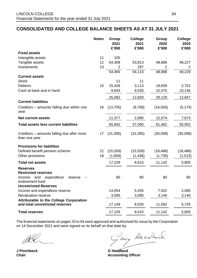## **CONSOLIDATED AND COLLEGE BALANCE SHEETS AS AT 31 JULY 2021**

|                                                              | <b>Notes</b> | Group<br>2021<br>£'000 | <b>College</b><br>2021<br>£'000 | Group<br>2020<br>£'000 | <b>College</b><br>2020<br>£'000 |
|--------------------------------------------------------------|--------------|------------------------|---------------------------------|------------------------|---------------------------------|
| <b>Fixed assets</b>                                          |              |                        |                                 |                        |                                 |
| Intangible assets                                            | 11           | 155                    |                                 |                        |                                 |
| Tangible assets                                              | 12           | 54,308                 | 53,813                          | 48,886                 | 48,227                          |
| Investments                                                  | 13           | $\overline{2}$         | 297                             | $\overline{2}$         | 2                               |
|                                                              |              | 54,465                 | 54,110                          | 48,888                 | 48,229                          |
| <b>Current assets</b>                                        |              |                        |                                 |                        |                                 |
| <b>Stock</b>                                                 |              | 11                     | 11                              |                        |                                 |
| <b>Debtors</b>                                               | 15           | 15,428                 | 3,113                           | 18,659                 | 2,701                           |
| Cash at bank and in hand                                     |              | 9,643                  | 9,535                           | 10,470                 | 10,146                          |
|                                                              |              | 25,082                 | 12,659                          | 29,129                 | 12,847                          |
| <b>Current liabilities</b>                                   |              |                        |                                 |                        |                                 |
| Creditors – amounts falling due within one<br>year           | 16           | (13,705)               | (9,769)                         | (16, 555)              | (5, 174)                        |
| <b>Net current assets</b>                                    |              | 11,377                 | 2,890                           | 12,574                 | 7,673                           |
| <b>Total assets less current liabilities</b>                 |              | 65,842                 | 57,000                          | 61,462                 | 55,902                          |
| Creditors – amounts falling due after more<br>than one year  | 17           | (31, 395)              | (31, 395)                       | (30,098)               | (30,098)                        |
| <b>Provisions for liabilities</b>                            |              |                        |                                 |                        |                                 |
| Defined benefit pension scheme                               | 21           | (15, 559)              | (15, 559)                       | (18, 486)              | (18, 486)                       |
| Other provisions                                             | 18           | (1,659)                | (1, 436)                        | (1,736)                | (1, 513)                        |
| <b>Total net assets</b>                                      |              | 17,229                 | 8,610                           | 11,142                 | 5,805                           |
| <b>Reserves</b><br><b>Restricted reserves</b>                |              |                        |                                 |                        |                                 |
| and<br>expenditure<br>Income<br>reserve<br>endowment fund    |              | 80                     | 80                              | 80                     | 80                              |
| <b>Unrestricted Reserves</b>                                 |              |                        |                                 | 7,922                  |                                 |
| Income and expenditure reserve<br><b>Revaluation reserve</b> |              | 14,054<br>3,095        | 5,435<br>3,095                  | 3,140                  | 2,585<br>3,140                  |
| <b>Attributable to the College Corporation</b>               |              |                        |                                 |                        |                                 |
| and total unrestricted reserves                              |              | 17,149                 | 8,530                           | 11,062                 | 5,725                           |
| <b>Total reserves</b>                                        |              | 17,229                 | 8,610                           | 11,142                 | 5,805                           |

The financial statements on pages 33 to 64 were approved and authorised for issue by the Corporation on 14 December 2021 and were signed on its behalf on that date by:

ary Headland.

**J Pinchbeck** G Headland

**Chair Accounting Officer**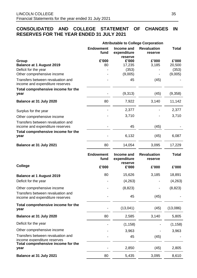## **CONSOLIDATED AND COLLEGE STATEMENT OF CHANGES IN RESERVES FOR THE YEAR ENDED 31 JULY 2021**

|                                                                      |                          |                                      | <b>Attributable to College Corporation</b> |              |
|----------------------------------------------------------------------|--------------------------|--------------------------------------|--------------------------------------------|--------------|
|                                                                      | <b>Endowment</b><br>fund | Income and<br>expenditure<br>reserve | <b>Revaluation</b><br>reserve              | <b>Total</b> |
| Group                                                                | £'000                    | £'000                                | £'000                                      | £'000        |
| <b>Balance at 1 August 2019</b>                                      | 80                       | 17,235                               | 3,185                                      | 20,500       |
| Deficit for the year                                                 |                          | (353)                                |                                            | (353)        |
| Other comprehensive income                                           |                          | (9,005)                              |                                            | (9,005)      |
| Transfers between revaluation and<br>income and expenditure reserves |                          | 45                                   | (45)                                       |              |
| Total comprehensive income for the<br>year                           |                          | (9,313)                              | (45)                                       | (9,358)      |
| Balance at 31 July 2020                                              | 80                       | 7,922                                | 3,140                                      | 11,142       |
| Surplus for the year                                                 |                          | 2,377                                |                                            | 2,377        |
| Other comprehensive income                                           |                          | 3,710                                |                                            | 3,710        |
| Transfers between revaluation and<br>income and expenditure reserves |                          | 45                                   | (45)                                       |              |
| Total comprehensive income for the<br>year                           |                          | 6,132                                | (45)                                       | 6,087        |
| Balance at 31 July 2021                                              | 80                       | 14,054                               | 3,095                                      | 17,229       |
|                                                                      | <b>Endowment</b><br>fund | Income and<br>expenditure<br>reserve | <b>Revaluation</b><br>reserve              | <b>Total</b> |
| <b>College</b>                                                       | £'000                    | £'000                                | £'000                                      | £'000        |
| <b>Balance at 1 August 2019</b>                                      | 80                       | 15,626                               | 3,185                                      | 18,891       |
| Deficit for the year                                                 |                          | (4,263)                              |                                            | (4,263)      |
| Other comprehensive income                                           |                          | (8, 823)                             |                                            | (8, 823)     |
| Transfers between revaluation and<br>income and expenditure reserves |                          | 45                                   | (45)                                       |              |
| Total comprehensive income for the<br>year                           |                          | (13,041)                             | (45)                                       | (13,086)     |
| Balance at 31 July 2020                                              | 80                       | 2,585                                | 3,140                                      | 5,805        |
| Deficit for the year                                                 |                          | (1, 158)                             |                                            | (1, 158)     |
| Other comprehensive income                                           |                          | 3,963                                |                                            | 3,963        |
| Transfers between revaluation and<br>income expenditure reserves     |                          | 45                                   | (45)                                       |              |
| Total comprehensive income for the<br>year                           |                          | 2,850                                | (45)                                       | 2,805        |
| Balance at 31 July 2021                                              | 80                       | 5,435                                | 3,095                                      | 8,610        |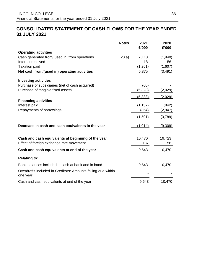## **CONSOLIDATED STATEMENT OF CASH FLOWS FOR THE YEAR ENDED 31 JULY 2021**

|                                                                          | <b>Notes</b> | 2021<br>£'000     | 2020<br>£'000 |
|--------------------------------------------------------------------------|--------------|-------------------|---------------|
| <b>Operating activities</b>                                              |              |                   |               |
| Cash generated from/(used in) from operations                            | 20a)         | 7,118             | (1,940)       |
| Interest received                                                        |              | 18                | 56            |
| <b>Taxation paid</b>                                                     |              | (1, 261)          | (1,607)       |
| Net cash from/(used in) operating activities                             |              | 5,875             | (3, 491)      |
| <b>Investing activities</b>                                              |              |                   |               |
| Purchase of subsidiaries (net of cash acquired)                          |              | (60)              |               |
| Purchase of tangible fixed assets                                        |              | (5,328)           | (2,029)       |
|                                                                          |              | (5,388)           | (2,029)       |
| <b>Financing activities</b>                                              |              |                   |               |
| Interest paid<br>Repayments of borrowings                                |              | (1, 137)<br>(364) | (842)         |
|                                                                          |              |                   | (2, 947)      |
|                                                                          |              | (1,501)           | (3,789)       |
| Decrease in cash and cash equivalents in the year                        |              | (1,014)           | (9,309)       |
| Cash and cash equivalents at beginning of the year                       |              | 10,470            | 19,723        |
| Effect of foreign exchange rate movement                                 |              | 187               | 56            |
| Cash and cash equivalents at end of the year                             |              | 9,643             | 10,470        |
| <b>Relating to:</b>                                                      |              |                   |               |
| Bank balances included in cash at bank and in hand                       |              | 9,643             | 10,470        |
| Overdrafts included in Creditors: Amounts falling due within<br>one year |              |                   |               |
| Cash and cash equivalents at end of the year                             |              | 9,643             | 10,470        |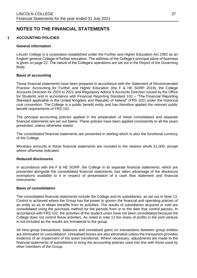## **NOTES TO THE FINANCIAL STATEMENTS**

#### **1 ACCOUNTING POLICIES**

#### **General information**

Lincoln College is a corporation established under the Further and Higher Education Act 1992 as an English general College of further education. The address of the College's principal place of business is given on page 22. The nature of the College's operations are set out in the Report of the Governing Body.

#### **Basis of accounting**

These financial statements have been prepared in accordance with the Statement of Recommended Practice: Accounting for Further and Higher Education (the F & HE SORP 2019), the College Accounts Direction for 2020 to 2021 and Regulatory Advice 9 Accounts Direction issued by the Office for Students and in accordance with Financial Reporting Standard 102 – "The Financial Reporting Standard applicable in the United Kingdom and Republic of Ireland" (FRS 102) under the historical cost convention. The College is a public benefit entity and has therefore applied the relevant public benefit requirements of FRS 102.

The principal accounting policies applied in the preparation of these consolidated and separate financial statements are set out below. These policies have been applied consistently to all the years presented, unless otherwise stated.

The consolidated financial statements are presented in sterling which is also the functional currency of the College.

Monetary amounts in these financial statements are rounded to the nearest whole £1,000, except where otherwise indicated.

#### **Reduced disclosures**

In accordance with the F & HE SORP, the College in its separate financial statements, which are presented alongside the consolidated financial statements, has taken advantage of the disclosure exemptions available to it in respect of presentation of a cash flow statement and financial instruments.

#### **Basis of consolidation**

The consolidated financial statements include the College and its subsidiaries, as set out in Note 13. Control is achieved where the Group has the power to govern the financial and operating policies of an entity so as to obtain benefits from its activities. The results of subsidiaries acquired or sold are consolidated using the purchase method for the periods from or to the date that control passes. In accordance with FRS 102, the activities of the student union have not been consolidated because the College does not control those activities. As noted in note 13 the share of profits in the joint venture is not included as the results are immaterial to the group.

All intra-group transactions, balances and unrealised gains on transactions between group entities are eliminated on consolidation. Unrealised losses are also eliminated unless the transaction provides evidence of an impairment of the asset transferred. Where necessary, adjustments are made to the financial statements of subsidiaries to bring the accounting policies used into line with those used by other members of the Group.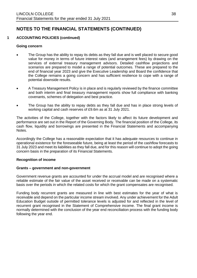### **1 ACCOUNTING POLICIES (continued)**

#### **Going concern**

- The Group has the ability to repay its debts as they fall due and is well placed to secure good value for money in terms of future interest rates (and arrangement fees) by drawing on the services of external treasury management advisors. Detailed cashflow projections and scenarios are prepared to model a range of potential outcomes. These are prepared to the end of financial year 2023 and give the Executive Leadership and Board the confidence that the College remains a going concern and has sufficient resilience to cope with a range of potential downside results.
- A Treasury Management Policy is in place and is regularly reviewed by the finance committee and both interim and final treasury management reports show full compliance with banking covenants, schemes of delegation and best practice.
- The Group has the ability to repay debts as they fall due and has in place strong levels of working capital and cash reserves of £9.6m as at 31 July 2021.

The activities of the College, together with the factors likely to affect its future development and performance are set out in the Report of the Governing Body. The financial position of the College, its cash flow, liquidity and borrowings are presented in the Financial Statements and accompanying Notes.

Accordingly the College has a reasonable expectation that it has adequate resources to continue in operational existence for the foreseeable future, being at least the period of the cashflow forecasts to 31 July 2023 and meet its liabilities as they fall due, and for this reason will continue to adopt the going concern basis in the preparation of its Financial Statements.

#### **Recognition of income**

#### **Grants – government and non-government**

Government revenue grants are accounted for under the accrual model and are recognised where a reliable estimate of the fair value of the asset received or receivable can be made on a systematic basis over the periods in which the related costs for which the grant compensates are recognised.

Funding body recurrent grants are measured in line with best estimates for the year of what is receivable and depend on the particular income stream involved. Any under achievement for the Adult Education Budget outside of permitted tolerance levels is adjusted for and reflected in the level of recurrent grant recognised in the Statement of Comprehensive income. The final grant income is normally determined with the conclusion of the year end reconciliation process with the funding body following the year end.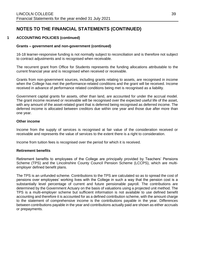### **1 ACCOUNTING POLICIES (continued)**

#### **Grants – government and non-government (continued)**

16-18 learner-responsive funding is not normally subject to reconciliation and is therefore not subject to contract adjustments and is recognised when receivable.

The recurrent grant from Office for Students represents the funding allocations attributable to the current financial year and is recognised when received or receivable.

Grants from non-government sources, including grants relating to assets, are recognised in income when the College has met the performance-related conditions and the grant will be received. Income received in advance of performance related conditions being met is recognised as a liability.

Government capital grants for assets, other than land, are accounted for under the accrual model. The grant income received or receivable will be recognised over the expected useful life of the asset, with any amount of the asset-related grant that is deferred being recognised as deferred income. The deferred income is allocated between creditors due within one year and those due after more than one year.

#### **Other income**

Income from the supply of services is recognised at fair value of the consideration received or receivable and represents the value of services to the extent there is a right to consideration.

Income from tuition fees is recognised over the period for which it is received.

#### **Retirement benefits**

Retirement benefits to employees of the College are principally provided by Teachers' Pensions Scheme (TPS) and the Lincolnshire County Council Pension Scheme (LCCPS), which are multiemployer defined benefit plans.

The TPS is an unfunded scheme. Contributions to the TPS are calculated so as to spread the cost of pensions over employees' working lives with the College in such a way that the pension cost is a substantially level percentage of current and future pensionable payroll. The contributions are determined by the Government Actuary on the basis of valuations using a projected unit method. The TPS is a multi-employer scheme but sufficient information is not available to use defined benefit accounting and therefore it is accounted for as a defined contribution scheme, with the amount charge to the statement of comprehensive income is the contributions payable in the year. Differences between contributions payable in the year and contributions actually paid are shown as either accruals or prepayments.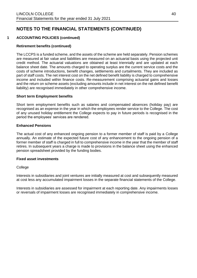## **1 ACCOUNTING POLICIES (continued)**

### **Retirement benefits (continued)**

The LCCPS is a funded scheme, and the assets of the scheme are held separately. Pension schemes are measured at fair value and liabilities are measured on an actuarial basis using the projected unit credit method. The actuarial valuations are obtained at least triennially and are updated at each balance sheet date. The amounts charged to operating surplus are the current service costs and the costs of scheme introductions, benefit changes, settlements and curtailments. They are included as part of staff costs. The net interest cost on the net defined benefit liability is charged to comprehensive income and included within finance costs. Re-measurement comprising actuarial gains and losses and the return on scheme assets (excluding amounts include in net interest on the net defined benefit liability) are recognised immediately in other comprehensive income.

#### **Short term Employment benefits**

Short term employment benefits such as salaries and compensated absences (holiday pay) are recognised as an expense in the year in which the employees render service to the College. The cost of any unused holiday entitlement the College expects to pay in future periods is recognised in the period the employees' services are rendered.

#### **Enhanced Pensions**

The actual cost of any enhanced ongoing pension to a former member of staff is paid by a College annually. An estimate of the expected future cost of any enhancement to the ongoing pension of a former member of staff is charged in full to comprehensive income in the year that the member of staff retires. In subsequent years a charge is made to provisions in the balance sheet using the enhanced pension spreadsheet provided by the funding bodies.

#### **Fixed asset investments**

#### **College**

Interests in subsidiaries and joint ventures are initially measured at cost and subsequently measured at cost less any accumulated impairment losses in the separate financial statements of the College.

Interests in subsidiaries are assessed for impairment at each reporting date. Any impairments losses or reversals of impairment losses are recognised immediately in comprehensive income.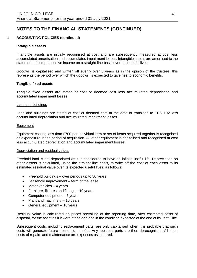### **1 ACCOUNTING POLICIES (continued)**

#### **Intangible assets**

Intangible assets are initially recognised at cost and are subsequently measured at cost less accumulated amortisation and accumulated impairment losses. Intangible assets are amortised to the statement of comprehensive income on a straight-line basis over their useful lives.

Goodwill is capitalised and written off evenly over 3 years as in the opinion of the trustees, this represents the period over which the goodwill is expected to give rise to economic benefits.

#### **Tangible fixed assets**

Tangible fixed assets are stated at cost or deemed cost less accumulated depreciation and accumulated impairment losses.

#### Land and buildings

Land and buildings are stated at cost or deemed cost at the date of transition to FRS 102 less accumulated depreciation and accumulated impairment losses.

#### Equipment

Equipment costing less than £700 per individual item or set of items acquired together is recognised as expenditure in the period of acquisition. All other equipment is capitalised and recognised at cost less accumulated depreciation and accumulated impairment losses.

#### Depreciation and residual values

Freehold land is not depreciated as it is considered to have an infinite useful life. Depreciation on other assets is calculated, using the straight line basis, to write off the cost of each asset to its estimated residual value over its expected useful lives, as follows:

- Freehold buildings over periods up to 50 years
- Leasehold improvement term of the lease
- Motor vehicles  $-4$  years
- Furniture, fixtures and fittings 10 years
- Computer equipment 5 years
- Plant and machinery 10 years
- General equipment 10 years

Residual value is calculated on prices prevailing at the reporting date, after estimated costs of disposal, for the asset as if it were at the age and in the condition expected at the end of its useful life.

Subsequent costs, including replacement parts, are only capitalised when it is probable that such costs will generate future economic benefits. Any replaced parts are then derecognised. All other costs of repairs and maintenance are expenses as incurred.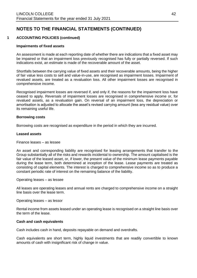### **1 ACCOUNTING POLICIES (continued)**

#### **Impairments of fixed assets**

An assessment is made at each reporting date of whether there are indications that a fixed asset may be impaired or that an impairment loss previously recognised has fully or partially reversed. If such indications exist, an estimate is made of the recoverable amount of the asset.

Shortfalls between the carrying value of fixed assets and their recoverable amounts, being the higher of fair value less costs to sell and value-in-use, are recognised as impairment losses. Impairment of revalued assets, are treated as a revaluation loss. All other impairment losses are recognised in comprehensive income.

Recognised impairment losses are reversed if, and only if, the reasons for the impairment loss have ceased to apply. Reversals of impairment losses are recognised in comprehensive income or, for revalued assets, as a revaluation gain. On reversal of an impairment loss, the depreciation or amortisation is adjusted to allocate the asset's revised carrying amount (less any residual value) over its remaining useful life.

#### **Borrowing costs**

Borrowing costs are recognised as expenditure in the period in which they are incurred.

#### **Leased assets**

Finance leases – as lessee

An asset and corresponding liability are recognised for leasing arrangements that transfer to the Group substantially all of the risks and rewards incidental to ownership. The amount capitalised is the fair value of the leased asset, or, if lower, the present value of the minimum lease payments payable during the lease term, both determined at inception of the lease. Lease payments are treated as consisting of capital elements. The interest is charged to comprehensive income so as to produce a constant periodic rate of interest on the remaining balance of the liability.

Operating leases – as lessee

All leases are operating leases and annual rents are charged to comprehensive income on a straight line basis over the lease term.

Operating leases – as lessor

Rental income from assets leased under an operating lease is recognised on a straight line basis over the term of the lease.

#### **Cash and cash equivalents**

Cash includes cash in hand, deposits repayable on demand and overdrafts.

Cash equivalents are short term, highly liquid investments that are readily convertible to known amounts of cash with insignificant risk of change in value.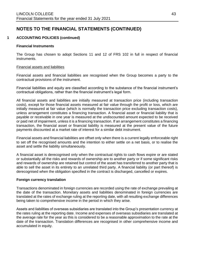### **1 ACCOUNTING POLICIES (continued)**

#### **Financial Instruments**

The Group has chosen to adopt Sections 11 and 12 of FRS 102 in full in respect of financial instruments.

#### Financial assets and liabilities

Financial assets and financial liabilities are recognised when the Group becomes a party to the contractual provisions of the instrument.

Financial liabilities and equity are classified according to the substance of the financial instrument's contractual obligations, rather than the financial instrument's legal form.

All financial assets and liabilities are initially measured at transaction price (including transaction costs), except for those financial assets measured at fair value through the profit or loss, which are initially measured at fair value (which is normally the transaction price excluding transaction costs), unless arrangement constitutes a financing transaction. A financial asset or financial liability that is payable or receivable in one year is measured at the undiscounted amount expected to be received or paid net of impairment, unless it is a financing transaction. If an arrangement constitutes a financing transaction, the financial asset or financial liability is measured at the present value of the future payments discounted at a market rate of interest for a similar debt instrument.

Financial assets and financial liabilities are offset only when there is a current legally enforceable right to set off the recognised amounts and the intention to either settle on a net basis, or to realise the asset and settle the liability simultaneously.

A financial asset is derecognised only when the contractual rights to cash flows expire or are stated or substantially all the risks and rewards of ownership are to another party or if some significant risks and rewards of ownership are retained but control of the asset has transferred to another party that is able to sell the asset in its entirety to an unrelated third party. A financial liability (or part thereof) is derecognised when the obligation specified in the contract is discharged, cancelled or expires.

#### **Foreign currency translation**

Transactions denominated in foreign currencies are recorded using the rate of exchange prevailing at the date of the transaction. Monetary assets and liabilities denominated in foreign currencies are translated at the rates of exchange ruling at the reporting date, with all resulting exchange differences being taken to comprehensive income in the period in which they arise.

Assets and liabilities of overseas subsidiaries are translated into the Group's presentation currency at the rates ruling at the reporting date. Income and expenses of overseas subsidiaries are translated at the average rate for the year as this is considered to be a reasonable approximation to the rate at the date of the transaction. Translation differences are recognised in other comprehensive income and accumulated in equity.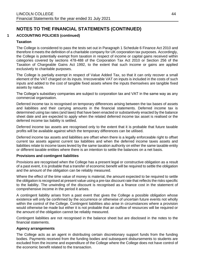### **1 ACCOUNTING POLICIES (continued)**

### **Taxation**

The College is considered to pass the tests set out in Paragraph 1 Schedule 6 Finance Act 2010 and therefore it meets the definition of a charitable company for UK corporation tax purposes. Accordingly, the College is potentially exempt from taxation in respect of income or capital gains received within categories covered by sections 478-488 of the Corporation Tax Act 2010 or Section 256 of the Taxation of Chargeable Gains Act 1992, to the extent that such income or gains are applied exclusively to charitable purposes.

The College is partially exempt in respect of Value Added Tax, so that it can only recover a small element of the VAT charged on its inputs. Irrecoverable VAT on inputs is included in the costs of such inputs and added to the cost of tangible fixed assets where the inputs themselves are tangible fixed assets by nature.

The College's subsidiary companies are subject to corporation tax and VAT in the same way as any commercial organisation.

Deferred income tax is recognised on temporary differences arising between the tax bases of assets and liabilities and their carrying amounts in the financial statements. Deferred income tax is determined using tax rates (and laws) that have been enacted or substantively enacted by the balance sheet date and are expected to apply when the related deferred income tax asset is realised or the deferred income tax liability is settled.

Deferred income tax assets are recognised only to the extent that it is probable that future taxable profits will be available against which the temporary differences can be utilised.

Deferred income tax assets and liabilities are offset when there is a legally enforceable right to offset current tax assets against current tax liabilities and when the deferred income taxes assets and liabilities relate to income taxes levied by the same taxation authority on either the same taxable entity or different taxable entities where there is an intention to settle the balances on a net basis.

#### **Provisions and contingent liabilities**

Provisions are recognised when the College has a present legal or constructive obligation as a result of a past event, it is probable that a transfer of economic benefit will be required to settle the obligation and the amount of the obligation can be reliably measured.

Where the effect of the time value of money is material, the amount expected to be required to settle the obligation is recognised at present value using a pre-tax discount rate that reflects the risks specific to the liability. The unwinding of the discount is recognised as a finance cost in the statement of comprehensive income in the period it arises.

A contingent liability arises from a past event that gives the College a possible obligation whose existence will only be confirmed by the occurrence or otherwise of uncertain future events not wholly within the control of the College. Contingent liabilities also arise in circumstances where a provision would otherwise be made but either it is not probable that an outflow of resources will be required or the amount of the obligation cannot be reliably measured.

Contingent liabilities are not recognised in the balance sheet but are disclosed in the notes to the financial statements.

#### **Agency arrangements**

The College acts as an agent in distributing certain discretionary support funds from the funding bodies. Payments received from the funding bodies and subsequent disbursements to students are excluded from the income and expenditure of the College where the College does not have control of the economic benefit related to the transaction.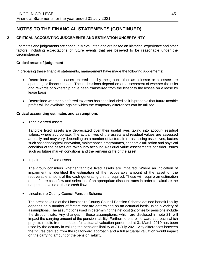### **2 CRITICAL ACCOUNTING JUDGEMENTS AND ESTIMATION UNCERTAINTY**

Estimates and judgements are continually evaluated and are based on historical experience and other factors, including expectations of future events that are believed to be reasonable under the circumstances.

#### **Critical areas of judgement**

In preparing these financial statements, management have made the following judgements:

- Determined whether leases entered into by the group either as a lessor or a lessee are operating or finance leases. These decisions depend on an assessment of whether the risks and rewards of ownership have been transferred from the lessor to the lessee on a lease by lease basis.
- Determined whether a deferred tax asset has been included as it is probable that future taxable profits will be available against which the temporary differences can be utilised.

#### **Critical accounting estimates and assumptions**

• Tangible fixed assets

Tangible fixed assets are depreciated over their useful lives taking into account residual values, where appropriate. The actual lives of the assets and residual values are assessed annually and may vary depending on a number of factors. In re-assessing asset lives, factors such as technological innovation, maintenance programmes, economic utilisation and physical condition of the assets are taken into account. Residual value assessments consider issues such as future market conditions and the remaining life of the asset.

• Impairment of fixed assets

The group considers whether tangible fixed assets are impaired. Where an indication of impairment is identified the estimation of the recoverable amount of the asset or the recoverable amount of the cash-generating unit is required. These will require an estimation of the future cash flow and selection of an appropriate discount rates in order to calculate the net present value of those cash flows.

• Lincolnshire County Council Pension Scheme

The present value of the Lincolnshire County Council Pension Scheme defined benefit liability depends on a number of factors that are determined on an actuarial basis using a variety of assumptions. The assumptions used in determining the net cost (income) for pensions include the discount rate. Any changes in these assumptions, which are disclosed in note 21, will impact the carrying amount of the pension liability. Furthermore a roll forward approach which projects results from the latest full actuarial valuation performed at 31 March 2019 has been used by the actuary in valuing the pensions liability at 31 July 2021. Any differences between the figures derived from the roll forward approach and a full actuarial valuation would impact on the carrying amount of the pension liability.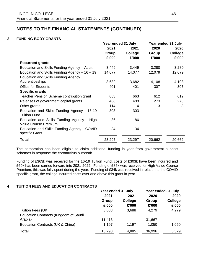## **3 FUNDING BODY GRANTS**

|                                                                    | Year ended 31 July |              | Year ended 31 July |                |  |      |  |
|--------------------------------------------------------------------|--------------------|--------------|--------------------|----------------|--|------|--|
|                                                                    | 2021               | 2020<br>2021 |                    |                |  | 2020 |  |
|                                                                    | Group              | College      | Group              | <b>College</b> |  |      |  |
|                                                                    | £'000              | £'000        | £'000              | £'000          |  |      |  |
| <b>Recurrent grants</b>                                            |                    |              |                    |                |  |      |  |
| Education and Skills Funding Agency - Adult                        | 3,449              | 3,449        | 3,280              | 3,280          |  |      |  |
| Education and Skills Funding Agency $-16-19$                       | 14,077             | 14,077       | 12,079             | 12,079         |  |      |  |
| <b>Education and Skills Funding Agency</b>                         |                    |              |                    |                |  |      |  |
| Apprenticeships                                                    | 3,682              | 3,682        | 4,108              | 4,108          |  |      |  |
| <b>Office for Students</b>                                         | 401                | 401          | 307                | 307            |  |      |  |
| <b>Specific grants</b>                                             |                    |              |                    |                |  |      |  |
| Teacher Pension Scheme contribution grant                          | 663                | 663          | 612                | 612            |  |      |  |
| Releases of government capital grants                              | 488                | 488          | 273                | 273            |  |      |  |
| Other grants                                                       | 114                | 114          | 3                  | 3              |  |      |  |
| Education and Skills Funding Agency - 16-19<br><b>Tuition Fund</b> | 303                | 303          |                    |                |  |      |  |
| Education and Skills Funding Agency - High<br>Value Course Premium | 86                 | 86           |                    |                |  |      |  |
| Education and Skills Funding Agency - COVID<br>specific Grant      | 34                 | 34           |                    |                |  |      |  |
| <b>Total</b>                                                       | 23,297             | 23,297       | 20,662             | 20,662         |  |      |  |

The corporation has been eligible to claim additional funding in year from government support schemes in response the coronavirus outbreak.

Funding of £363k was received for the 16-19 Tuition Fund, costs of £303k have been incurred and £60k has been carried forward into 2021-2022. Funding of £86k was received for High Value Course Premium, this was fully spent during the year. Funding of £34k was received in relation to the COVID specific grant, the college incurred costs over and above this grant in year.

### **4 TUITION FEES AND EDUCATION CONTRACTS**

|                                       | Year ended 31 July |                | Year ended 31 July |                |  |
|---------------------------------------|--------------------|----------------|--------------------|----------------|--|
|                                       | 2021               | 2021           | 2020               | 2020           |  |
|                                       | Group              | <b>College</b> | Group              | <b>College</b> |  |
|                                       | £'000              | £'000          | £'000              | £'000          |  |
| Tuition Fees (UK)                     | 3,688              | 3,688          | 4,279              | 4,279          |  |
| Education Contracts (Kingdom of Saudi |                    |                |                    |                |  |
| Arabia)                               | 11,413             |                | 31,667             |                |  |
| Education Contracts (UK & China)      | 1,197              | 1,197          | 1,050              | 1,050          |  |
| <b>Total</b>                          | 16,298             | 4,885          | 36,996             | 5,329          |  |
|                                       |                    |                |                    |                |  |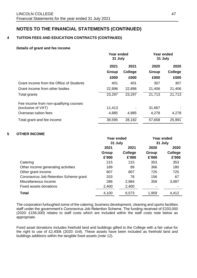## **4 TUITION FEES AND EDUCATION CONTRACTS (CONTINUED)**

#### **Details of grant and fee income**

|                                          | Year ended<br>31 July |         | Year ended<br>31 July |         |  |  |      |      |
|------------------------------------------|-----------------------|---------|-----------------------|---------|--|--|------|------|
|                                          | 2021<br>2021          |         |                       |         |  |  | 2020 | 2020 |
|                                          | Group                 | College | Group                 | College |  |  |      |      |
|                                          | £000                  | £000    | £000                  | £000    |  |  |      |      |
| Grant income from the Office of Students | 401                   | 401     | 307                   | 307     |  |  |      |      |
| Grant income from other bodies           | 22,896                | 22,896  | 21,406                | 21,406  |  |  |      |      |
| Total grants                             | 23,297                | 23,297  | 21,713                | 21,713  |  |  |      |      |
| Fee income from non-qualifying courses   |                       |         |                       |         |  |  |      |      |
| (exclusive of VAT)                       | 11,413                |         | 31,667                |         |  |  |      |      |
| Overseas tuition fees                    | 4,885                 | 4,885   | 4,278                 | 4,278   |  |  |      |      |
| Total grant and fee income               | 39,595                | 28,182  | 57,658                | 25,991  |  |  |      |      |

### **5 OTHER INCOME**

|                                        | <b>Year ended</b> |         | <b>Year ended</b> |         |
|----------------------------------------|-------------------|---------|-------------------|---------|
|                                        | 31 July           |         | 31 July           |         |
|                                        | 2021              | 2021    | 2020              | 2020    |
|                                        | Group             | College | Group             | College |
|                                        | £'000             | £'000   | £'000             | £'000   |
| Catering                               | 215               | 215     | 353               | 353     |
| Other income generating activities     | 189               | 89      | 366               | 180     |
| Other grant income                     | 807               | 807     | 725               | 725     |
| Coronavirus Job Retention Scheme grant | 203               | 78      | 156               | 67      |
| Miscellaneous income                   | 286               | 2,984   | 359               | 3,087   |
| Fixed assets donations                 | 2,400             | 2,400   |                   |         |
| <b>Total</b>                           | 4,100             | 6,573   | 1,959             | 4,412   |

The corporation furloughed some of the catering, business development, cleaning and sports facilities staff under the government's Coronavirus Job Retention Scheme. The funding received of £203,000 (2020: £156,000) relates to staff costs which are included within the staff costs note below as appropriate.

Fixed asset donations includes freehold land and buildings gifted to the College with a fair value for the right to use of £2,400k (2020: £nil). These assets have been included as freehold land and buildings additions within the tangible fixed assets (note 12).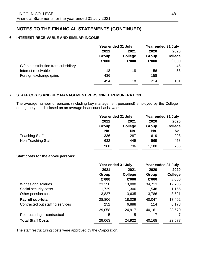### **6 INTEREST RECEIVABLE AND SIMILAR INCOME**

|                                       | Year ended 31 July |                          | Year ended 31 July |                |      |
|---------------------------------------|--------------------|--------------------------|--------------------|----------------|------|
|                                       | 2021               |                          | 2021               | 2020           | 2020 |
|                                       | Group              | <b>College</b>           | Group              | <b>College</b> |      |
|                                       | £'000              | £'000                    | £'000              | £'000          |      |
| Gift aid distribution from subsidiary | $\blacksquare$     | $\overline{\phantom{0}}$ |                    | 45             |      |
| Interest receivable                   | 18                 | 18                       | 56                 | 56             |      |
| Foreign exchange gains                | 436                |                          | 158                |                |      |
|                                       | 454                | 18                       | 214                | 101            |      |

### **7 STAFF COSTS AND KEY MANAGEMENT PERSONNEL REMUNERATION**

The average number of persons (including key management personnel) employed by the College during the year, disclosed on an average headcount basis, was:

|                       | Year ended 31 July |         | Year ended 31 July |         |  |
|-----------------------|--------------------|---------|--------------------|---------|--|
|                       | 2021               | 2021    | 2020               | 2020    |  |
|                       | Group              | College | Group              | College |  |
|                       | No.                | No.     | No.                | No.     |  |
| <b>Teaching Staff</b> | 336                | 287     | 619                | 298     |  |
| Non-Teaching Staff    | 632                | 449     | 569                | 458     |  |
|                       | 968                | 736     | 1,188              | 756     |  |

#### **Staff costs for the above persons:**

|                                  | Year ended 31 July |         |        | Year ended 31 July |
|----------------------------------|--------------------|---------|--------|--------------------|
|                                  | 2021               | 2021    | 2020   | 2020               |
|                                  | Group              | College | Group  | <b>College</b>     |
|                                  | £'000              | £'000   | £'000  | £'000              |
| Wages and salaries               | 23,250             | 13,088  | 34,713 | 12,705             |
| Social security costs            | 1,729              | 1,306   | 1,548  | 1,166              |
| Other pension costs              | 3,827              | 3,635   | 3,786  | 3,621              |
| Payroll sub-total                | 28,806             | 18,029  | 40,047 | 17,492             |
| Contracted out staffing services | 252                | 6,888   | 114    | 6,178              |
|                                  | 29,058             | 24,917  | 40,161 | 23,670             |
| Restructuring - contractual      | 5                  | 5       |        |                    |
| <b>Total Staff Costs</b>         | 29,063             | 24,922  | 40,168 | 23,677             |

The staff restructuring costs were approved by the Corporation.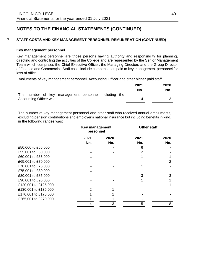### **7 STAFF COSTS AND KEY MANAGEMENT PERSONNEL REMUNERATION (CONTINUED)**

#### **Key management personnel**

Key management personnel are those persons having authority and responsibility for planning, directing and controlling the activities of the College and are represented by the Senior Management Team which comprises the Chief Executive Officer, the Managing Directors and the Group Director of Finance and Commercial. Staff costs include compensation paid to key management personnel for loss of office.

Emoluments of key management personnel, Accounting Officer and other higher paid staff

|                                                      | 2021 | 2020 |
|------------------------------------------------------|------|------|
|                                                      | No.  | No.  |
| The number of key management personnel including the |      |      |
| <b>Accounting Officer was:</b>                       |      |      |

The number of key management personnel and other staff who received annual emoluments, excluding pension contributions and employer's national insurance but including benefits in kind, in the following ranges was:

|                      |             | Key management<br>personnel |             | <b>Other staff</b> |  |  |
|----------------------|-------------|-----------------------------|-------------|--------------------|--|--|
|                      | 2021<br>No. | 2020<br>No.                 | 2021<br>No. | 2020<br>No.        |  |  |
| £50,000 to £55,000   |             |                             |             |                    |  |  |
| £55,001 to £60,000   |             |                             |             |                    |  |  |
| £60,001 to £65,000   |             |                             |             |                    |  |  |
| £65,001 to £70,000   |             |                             |             | 2                  |  |  |
| £70,001 to £75,000   |             |                             |             |                    |  |  |
| £75,001 to £80,000   |             |                             |             |                    |  |  |
| £80,001 to £85,000   |             |                             |             | 3                  |  |  |
| £90,001 to £95,000   |             |                             |             |                    |  |  |
| £120,001 to £125,000 |             |                             |             |                    |  |  |
| £130,001 to £135,000 |             |                             |             |                    |  |  |
| £170,001 to £175,000 |             |                             |             |                    |  |  |
| £265,001 to £270,000 |             |                             |             |                    |  |  |
|                      |             |                             | 15          | 8                  |  |  |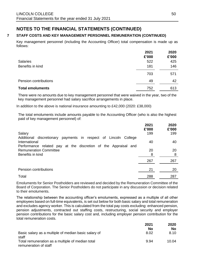## **7 STAFF COSTS AND KEY MANAGEMENT PERSONNEL REMUNERATION (CONTINUED)**

Key management personnel (including the Accounting Officer) total compensation is made up as follows:

|                         | 2021<br>£'000 | 2020<br>£'000 |
|-------------------------|---------------|---------------|
| <b>Salaries</b>         | 522           | 425           |
| Benefits in kind        | 181           | 146           |
|                         | 703           | 571           |
| Pension contributions   | 49            | 42            |
| <b>Total emoluments</b> | 752           | 613           |

There were no amounts due to key management personnel that were waived in the year, two of the key management personnel had salary sacrifice arrangements in place.

In addition to the above is national insurance amounting to £42,000 (2020: £38,000)

The total emoluments include amounts payable to the Accounting Officer (who is also the highest paid of key management personnel) of:

|                                                                 | 2021<br>£'000 | 2020<br>£'000 |
|-----------------------------------------------------------------|---------------|---------------|
| Salary                                                          | 199           | 199           |
| Additional discretionary payments in respect of Lincoln College |               |               |
| International                                                   | 40            | 40            |
| Performance related pay at the discretion of the Appraisal and  |               |               |
| <b>Remuneration Committee</b>                                   | 20            | 20            |
| Benefits in kind                                                | 8             | 8             |
|                                                                 | 267           | 267           |
| Pension contributions                                           | 21            | 20            |
| Total                                                           | 288           | 287           |

Emoluments for Senior Postholders are reviewed and decided by the Remuneration Committee of the Board of Corporation. The Senior Postholders do not participate in any discussion or decision related to their emoluments.

The relationship between the accounting officer's emoluments, expressed as a multiple of all other employees based on full-time equivalents, is set out below for both basic salary and total remuneration and excludes agency worker. This is calculated from the total pay costs excluding: enhanced pension, pension adjustments, contracted out staffing costs, restructuring, social security and employer pension contributions for the basic salary cost and, including employer pension contribution for the total remuneration costs.

|                                                                           | 2021 | 2020  |
|---------------------------------------------------------------------------|------|-------|
|                                                                           | No   | No.   |
| Basic salary as a multiple of median basic salary of<br>staff             | 8.02 | 8.10  |
| Total remuneration as a multiple of median total<br>remuneration of staff | 9.94 | 10.04 |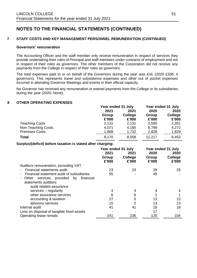### **7 STAFF COSTS AND KEY MANAGEMENT PERSONNEL REMUNERATION (CONTINUED)**

#### **Governors' remuneration**

The Accounting Officer and the staff member only receive remuneration in respect of services they provide undertaking their roles of Principal and staff members under contracts of employment and not in respect of their roles as governors. The other members of the Corporation did not receive any payments from the College in respect of their roles as governors.

The total expenses paid to or on behalf of the Governors during the year was £nil, (2020 £336; 4 governors). This represents travel and subsistence expenses and other out of pocket expenses incurred in attending Governor Meetings and events in their official capacity.

No Governor has received any remuneration or waived payments from the College or its subsidiaries during the year (2020: None).

#### **8 OTHER OPERATING EXPENSES**

|                                                             | Year ended 31 July |                | Year ended 31 July |                    |      |  |
|-------------------------------------------------------------|--------------------|----------------|--------------------|--------------------|------|--|
|                                                             | 2021<br>2021       |                |                    |                    | 2020 |  |
|                                                             | Group              | College        | Group              | <b>College</b>     |      |  |
|                                                             | £'000              | £'000          | £'000              | £'000              |      |  |
| <b>Teaching Costs</b>                                       | 2,131              | 2,131          | 2,590              | 2,351              |      |  |
| <b>Non-Teaching Costs</b>                                   | 4,071              | 4,195          | 6,799              | 4,272              |      |  |
| <b>Premises Costs</b>                                       | 1,968              | 1,732          | 2,828              | 1,829              |      |  |
| <b>Total</b>                                                | 8,170              | 8,058          | 12,217             | 8,452              |      |  |
| Surplus/(deficit) before taxation is stated after charging: |                    |                |                    |                    |      |  |
|                                                             | Year ended 31 July |                |                    | Year ended 31 July |      |  |
|                                                             | 2021               | 2021           | 2020               | 2020               |      |  |
|                                                             | Group              | College        | Group              | College            |      |  |
|                                                             | £'000              | £'000          | £'000              | £'000              |      |  |
| Auditors remuneration, excluding VAT                        |                    |                |                    |                    |      |  |
| Financial statements audit                                  | 23                 | 23             | 29                 | 29                 |      |  |
| Financial statement audit of subsidiaries                   | 55                 |                | 49                 |                    |      |  |
| services provided<br>by<br>financial<br>Other               |                    |                |                    |                    |      |  |
| statements auditors:                                        |                    |                |                    |                    |      |  |
| audit related assurance                                     |                    |                |                    |                    |      |  |
| services – regularity                                       | 4                  | 4              | 4                  | 4                  |      |  |
| other assurance services                                    | 6                  | 6              | 1                  | 1                  |      |  |
| accounting & taxation                                       | 27                 | 5              | 13                 | 13                 |      |  |
| advisory services                                           | 15                 | $\overline{2}$ | 13                 | 13                 |      |  |
| Internal audit                                              | 41                 | 41             | 18                 | 18                 |      |  |
| Loss on disposal of tangible fixed assets                   |                    |                | 17                 |                    |      |  |
| Operating lease rentals                                     | 241                | 236            | 120                | 104                |      |  |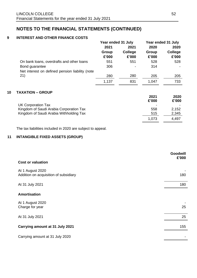### **9 INTEREST AND OTHER FINANCE COSTS**

|                                                 | Year ended 31 July |         | Year ended 31 July |         |
|-------------------------------------------------|--------------------|---------|--------------------|---------|
|                                                 | 2021               | 2021    | 2020               | 2020    |
|                                                 | Group              | College | Group              | College |
|                                                 | £'000              | £'000   | £'000              | £'000   |
| On bank loans, overdrafts and other loans       | 551                | 551     | 528                | 528     |
| Bond guarantee                                  | 306                |         | 314                |         |
| Net interest on defined pension liability (note |                    |         |                    |         |
| 21)                                             | 280                | 280     | 205                | 205     |
|                                                 | 1,137              | 831     | 1,047              | 733     |

### **10 TAXATION – GROUP**

|                                                               | 2021<br>£'000 | 2020<br>£'000 |
|---------------------------------------------------------------|---------------|---------------|
| UK Corporation Tax<br>Kingdom of Saudi Arabia Corporation Tax | 558           | 2,152         |
| Kingdom of Saudi Arabia Withholding Tax                       | 515           | 2,345         |
|                                                               | 1.073         | 4.497         |

The tax liabilities included in 2020 are subject to appeal.

## **11 INTANGIBLE FIXED ASSETS (GROUP)**

|                                                           | <b>Goodwill</b><br>£'000 |
|-----------------------------------------------------------|--------------------------|
| <b>Cost or valuation</b>                                  |                          |
| At 1 August 2020<br>Addition on acquisition of subsidiary | 180                      |
| At 31 July 2021                                           | 180                      |
| <b>Amortisation</b>                                       |                          |
| At 1 August 2020<br>Charge for year                       | 25                       |
| At 31 July 2021                                           | 25                       |
| Carrying amount at 31 July 2021                           | 155                      |
| Carrying amount at 31 July 2020                           |                          |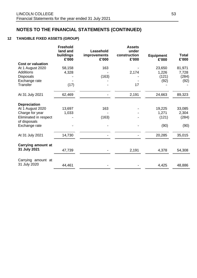## **12 TANGIBLE FIXED ASSETS (GROUP)**

|                                       | <b>Freehold</b><br>land and<br>buildings<br>£'000 | Leasehold<br>improvements<br>£'000 | <b>Assets</b><br>under<br>construction<br>£'000 | <b>Equipment</b><br>£'000 | <b>Total</b><br>£'000 |
|---------------------------------------|---------------------------------------------------|------------------------------------|-------------------------------------------------|---------------------------|-----------------------|
| <b>Cost or valuation</b>              |                                                   |                                    |                                                 |                           |                       |
| At 1 August 2020                      | 58,158                                            | 163                                |                                                 | 23,650                    | 81,971                |
| <b>Additions</b>                      | 4,328                                             |                                    | 2,174                                           | 1,226                     | 7,728                 |
| <b>Disposals</b>                      |                                                   | (163)                              |                                                 | (121)                     | (284)                 |
| Exchange rate                         |                                                   |                                    |                                                 | (92)                      | (92)                  |
| Transfer                              | (17)                                              |                                    | 17                                              |                           |                       |
| At 31 July 2021                       | 62,469                                            |                                    | 2,191                                           | 24,663                    | 89,323                |
| <b>Depreciation</b>                   |                                                   |                                    |                                                 |                           |                       |
| At 1 August 2020                      | 13,697                                            | 163                                |                                                 | 19,225                    | 33,085                |
| Charge for year                       | 1,033                                             |                                    |                                                 | 1,271                     | 2,304                 |
| Eliminated in respect<br>of disposals |                                                   | (163)                              |                                                 | (121)                     | (284)                 |
| Exchange rate                         |                                                   |                                    |                                                 | (90)                      | (90)                  |
| At 31 July 2021                       | 14,730                                            |                                    |                                                 | 20,285                    | 35,015                |
| <b>Carrying amount at</b>             |                                                   |                                    |                                                 |                           |                       |
| 31 July 2021                          | 47,739                                            |                                    | 2,191                                           | 4,378                     | 54,308                |
| Carrying amount at                    |                                                   |                                    |                                                 |                           |                       |
| 31 July 2020                          | 44,461                                            |                                    |                                                 | 4,425                     | 48,886                |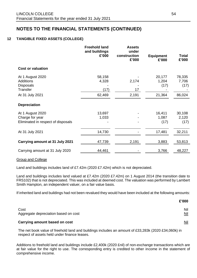## **12 TANGIBLE FIXED ASSETS (COLLEGE)**

|                                                                                                | <b>Freehold land</b><br>and buildings<br>£'000 | <b>Assets</b><br>under<br>construction<br>£'000 | <b>Equipment</b><br>£'000         | <b>Total</b><br>£'000             |
|------------------------------------------------------------------------------------------------|------------------------------------------------|-------------------------------------------------|-----------------------------------|-----------------------------------|
| <b>Cost or valuation</b>                                                                       |                                                |                                                 |                                   |                                   |
| At 1 August 2020<br><b>Additions</b><br><b>Disposals</b><br><b>Transfer</b><br>At 31 July 2021 | 58,158<br>4,328<br>(17)<br>62,469              | 2,174<br>17<br>2,191                            | 20,177<br>1,204<br>(17)<br>21,364 | 78,335<br>7,706<br>(17)<br>86,024 |
| <b>Depreciation</b>                                                                            |                                                |                                                 |                                   |                                   |
| At 1 August 2020<br>Charge for year<br>Eliminated in respect of disposals                      | 13,697<br>1,033                                |                                                 | 16,411<br>1,087<br>(17)           | 30,108<br>2,120<br>(17)           |
| At 31 July 2021                                                                                | 14,730                                         |                                                 | 17,481                            | 32,211                            |
| Carrying amount at 31 July 2021                                                                | 47,739                                         | 2,191                                           | 3,883                             | 53,813                            |
| Carrying amount at 31 July 2020                                                                | 44,461                                         |                                                 | 3,766                             | 48,227                            |

#### Group and College

Land and buildings includes land of £7.42m (2020 £7.42m) which is not depreciated.

Land and buildings includes land valued at £7.42m (2020 £7.42m) on 1 August 2014 (the transition date to FRS102) that is not depreciated. This was included at deemed cost. The valuation was performed by Lambert Smith Hampton, an independent valuer, on a fair value basis.

If inherited land and buildings had not been revalued they would have been included at the following amounts:

|                                              | £'000             |
|----------------------------------------------|-------------------|
| Cost<br>Aggregate depreciation based on cost | Nil<br><u>Nil</u> |
| <b>Carrying amount based on cost</b>         | <u>Nil</u>        |

The net book value of freehold land and buildings includes an amount of £33,283k (2020 £34,060k) in respect of assets held under finance leases.

Additions to freehold land and buildings include £2,400k (2020 £nil) of non-exchange transactions which are at fair value for the right to use. The corresponding entry is credited to other income in the statement of comprehensive income.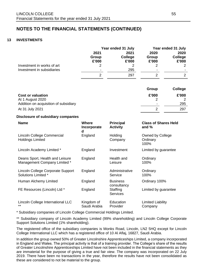#### **13 INVESTMENTS**

|                            |                          | Year ended 31 July       |                        | Year ended 31 July       |
|----------------------------|--------------------------|--------------------------|------------------------|--------------------------|
|                            | 2021<br>Group<br>£'000   | 2021<br>College<br>£'000 | 2020<br>Group<br>£'000 | 2020<br>College<br>£'000 |
| Investment in works of art |                          |                          |                        | $\overline{2}$           |
| Investment in subsidiaries | $\overline{\phantom{0}}$ | 295<br>297               | $\,$                   | $\overline{2}$           |

|                                       | Group                    | College |
|---------------------------------------|--------------------------|---------|
| <b>Cost or valuation</b>              | £'000                    | £'000   |
| At 1 August 2020                      |                          |         |
| Addition on acquisition of subsidiary | $\overline{\phantom{a}}$ | 295     |
| At 31 July 2021                       |                          | 297     |

#### **Disclosure of subsidiary companies**

| <b>Name</b>                                                     | <b>Where</b><br>Incorporate<br>d | <b>Principal</b><br><b>Activity</b> | <b>Class of Shares Held</b><br>and $%$ |
|-----------------------------------------------------------------|----------------------------------|-------------------------------------|----------------------------------------|
| Lincoln College Commercial<br><b>Holdings Limited</b>           | England                          | Holding<br>Company                  | Owned by College<br>Ordinary<br>100%   |
| Lincoln Academy Limited *                                       | England                          | Investment                          | Limited by guarantee                   |
| Deans Sport, Health and Leisure<br>Management Company Limited * | England                          | Health and<br>Leisure               | Ordinary<br>100%                       |
| Lincoln College Corporate Support<br>Solutions Limited *        | England                          | Administrative<br>Service           | Ordinary<br>100%                       |
| Human Alchemy Limited                                           | England                          | <b>Business</b><br>consultancy      | Ordinary 100%                          |
| FE Resources (Lincoln) Ltd *                                    | England                          | Staffing<br><b>Services</b>         | Limited by guarantee                   |
| Lincoln College International LLC<br>$***$                      | Kingdom of<br>Saudi Arabia       | Education<br>Provider               | <b>Limited Liability</b><br>Company    |

\* Subsidiary companies of Lincoln College Commercial Holdings Limited.

\*\* Subsidiary company of Lincoln Academy Limited (99% shareholding) and Lincoln College Corporate Support Solutions Limited (1% shareholding).

The registered office of the subsidiary companies is Monks Road, Lincoln, LN2 5HQ except for Lincoln College International LLC which has a registered office of 10 Al Aflaj, 16827, Saudi Arabia.

In addition the group owned 50% of Greater Lincolnshire Apprenticeships Limited, a company incorporated in England and Wales. The principal activity is that of a training provider. The College's share of the results of Greater Lincolnshire Apprenticeships Limited have not been included in the financial statements as they are immaterial for the purpose of giving a true and fair view. The company was incorporated on 22 July 2019. There have been no transactions in the year, therefore the results have not been consolidated as these are considered to not be material to the group.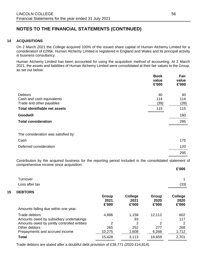#### **14 ACQUISITIONS**

**15 DEBTORS**

On 2 March 2021 the College acquired 100% of the issued share capital of Human Alchemy Limited for a consideration of £295k. Human Alchemy Limited is registered in England and Wales and its principal activity is business consultancy.

Human Alchemy Limited has been accounted for using the acquisition method of accounting. At 2 March 2021, the assets and liabilities of Human Alchemy Limited were consolidated at their fair values to the Group, as set out below:

|                                      | <b>Book</b><br>value<br>£'000 | Fair<br>value<br>£'000 |
|--------------------------------------|-------------------------------|------------------------|
| <b>Debtors</b>                       | 40                            | 40                     |
| Cash and cash equivalents            | 114                           | 114                    |
| Trade and other payables             | (39)                          | (39)                   |
| <b>Total identifiable net assets</b> | 115                           | 115                    |
| Goodwill                             |                               | 180                    |
| <b>Total consideration</b>           |                               | 295                    |
| The consideration was satisfied by:  |                               |                        |
| Cash                                 |                               | 175                    |
| Deferred consideration               |                               | 120                    |
|                                      |                               | 295                    |

Contribution by the acquired business for the reporting period included in the consolidated statement of comprehensive income since acquisition: **£'000**

|                                                          |                        |                                 |                        | L UUU                           |
|----------------------------------------------------------|------------------------|---------------------------------|------------------------|---------------------------------|
| Turnover<br>Loss after tax                               |                        |                                 |                        | (33)                            |
| <b>DEBTORS</b>                                           |                        |                                 |                        |                                 |
|                                                          | Group<br>2021<br>£'000 | <b>College</b><br>2021<br>£'000 | Group<br>2020<br>£'000 | <b>College</b><br>2020<br>£'000 |
| Amounts falling due within one year:                     |                        |                                 |                        |                                 |
| Trade debtors<br>Amounts owed by subsidiary undertakings | 4,886                  | 1,158<br>93                     | 12,112                 | 602<br>117                      |
| Amounts owed by jointly controlled entities              | 2                      | 2                               | 2                      | 2                               |
| Other debtors<br>Prepayments and accrued income          | 265<br>10,275          | 252<br>1,608                    | 277<br>6,268           | 268<br>1,712                    |
| <b>Total</b>                                             | 15,428                 | 3,113                           | 18,659                 | 2,701                           |

Trade debtors are stated after a doubtful debt provision of £39,771 (2020 £14,814).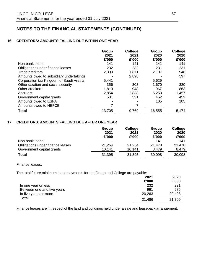### **16 CREDITORS: AMOUNTS FALLING DUE WITHIN ONE YEAR**

|                                         | Group<br>2021 | <b>College</b><br>2021 | Group<br>2020 | <b>College</b><br>2020 |
|-----------------------------------------|---------------|------------------------|---------------|------------------------|
|                                         | £'000         | £'000                  | £'000         | £'000                  |
| Non bank loans                          | 141           | 141                    | 141           | 141                    |
| Obligations under finance leases        | 232           | 232                    | 231           | 231                    |
| Trade creditors                         | 2,330         | 1,871                  | 2,107         | 948                    |
| Amounts owed to subsidiary undertakings |               | 2,898                  |               | 597                    |
| Corporation tax Kingdom of Saudi Arabia | 5,441         |                        | 5,629         |                        |
| Other taxation and social security      | 356           | 303                    | 1,670         | 380                    |
| Other creditors                         | 1,813         | 948                    | 967           | 863                    |
| Accruals                                | 2,854         | 2,838                  | 5,253         | 1,457                  |
| Government capital grants               | 531           | 531                    | 452           | 452                    |
| Amounts owed to ESFA                    |               |                        | 105           | 105                    |
| Amounts owed to HEFCE                   |               |                        |               |                        |
| <b>Total</b>                            | 13,705        | 9,769                  | 16,555        | 5,174                  |

### **17 CREDITORS: AMOUNTS FALLING DUE AFTER ONE YEAR**

|                                  | Group<br>2021<br>£'000 | <b>College</b><br>2021<br>£'000 | Group<br>2020<br>£'000 | College<br>2020<br>£'000 |
|----------------------------------|------------------------|---------------------------------|------------------------|--------------------------|
| Non bank loans                   |                        |                                 | 141                    | 141                      |
| Obligations under finance leases | 21,254                 | 21,254                          | 21.478                 | 21,478                   |
| Government capital grants        | 10,141                 | 10,141                          | 8,479                  | 8,479                    |
| <b>Total</b>                     | 31,395                 | 31,395                          | 30,098                 | 30,098                   |

Finance leases:

The total future minimum lease payments for the Group and College are payable:

|                            | 2021<br>£'000 | 2020<br>£'000 |
|----------------------------|---------------|---------------|
| In one year or less        | 232           | 231           |
| Between one and five years | 991           | 985           |
| In five years or more      | 20,263        | 20,493        |
| <b>Total</b>               | 21,486        | 21,709        |

Finance leases are in respect of the land and buildings held under a sale and leaseback arrangement.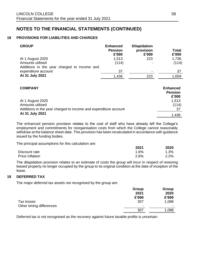### **18 PROVISIONS FOR LIABILITIES AND CHARGES**

| <b>GROUP</b>                                | <b>Enhanced</b><br><b>Pension</b><br>£'000 | <b>Dilapidation</b><br>provision<br>£'000 | Total<br>£'000 |
|---------------------------------------------|--------------------------------------------|-------------------------------------------|----------------|
| At 1 August 2020                            | 1,513                                      | 223                                       | 1,736          |
| Amounts utilised                            | (114)                                      |                                           | (114)          |
| Additions in the year charged to income and |                                            |                                           |                |
| expenditure account                         | 37                                         | $\,$                                      | 37             |
| At 31 July 2021                             | 1,436                                      | 223                                       | 1,659          |

| <b>COMPANY</b>                                                  | <b>Enhanced</b><br><b>Pension</b><br>£'000 |
|-----------------------------------------------------------------|--------------------------------------------|
| At 1 August 2020<br>Amounts utilised                            | 1,513<br>(114)                             |
| Additions in the year charged to income and expenditure account | 37                                         |
| At 31 July 2021                                                 | 1,436                                      |

The enhanced pension provision relates to the cost of staff who have already left the College's employment and commitments for reorganisation costs from which the College cannot reasonably withdraw at the balance sheet date. This provision has been recalculated in accordance with guidance issued by the funding bodies.

The principal assumptions for this calculation are:

|                 | 2021    | 2020    |
|-----------------|---------|---------|
| Discount rate   | $1.6\%$ | $1.3\%$ |
| Price Inflation | 2.6%    | 2.2%    |

The dilapidation provision relates to an estimate of costs the group will incur in respect of restoring leased property no longer occupied by the group to its original condition at the date of inception of the lease.

### **19 DEFERRED TAX**

The major deferred tax assets not recognised by the group are:

|                          | Group          | Group                    |
|--------------------------|----------------|--------------------------|
|                          | 2021           | 2020                     |
|                          | £'000          | £'000                    |
| Tax losses               | 307            | 1,088                    |
| Other timing differences | $\blacksquare$ | $\overline{\phantom{0}}$ |
|                          | 307            | 1,088                    |

Deferred tax is not recognised as the recovery against future taxable profits is uncertain.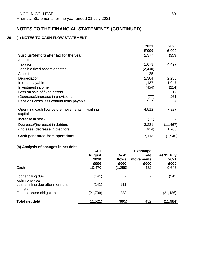## **20 (a) NOTES TO CASH FLOW STATEMENT**

|                                                            | 2021    | 2020      |
|------------------------------------------------------------|---------|-----------|
|                                                            | £'000   | £'000     |
| Surplus/(deficit) after tax for the year                   | 2,377   | (353)     |
| Adjustment for:                                            |         |           |
| Taxation                                                   | 1,073   | 4,497     |
| Tangible fixed assets donated                              | (2,400) |           |
| Amortisation                                               | 25      |           |
| Depreciation                                               | 2,304   | 2,238     |
| Interest payable                                           | 1,137   | 1,047     |
| Investment income                                          | (454)   | (214)     |
| Loss on sale of fixed assets                               |         | 17        |
| (Decrease)/increase in provisions                          | (77)    | 261       |
| Pensions costs less contributions payable                  | 527     | 334       |
| Operating cash flow before movements in working<br>capital | 4,512   | 7,827     |
| Increase in stock                                          | (11)    |           |
| Decrease/(increase) in debtors                             | 3,231   | (11, 467) |
| (Increase)/decrease in creditors                           | (614)   | 1,700     |
| Cash generated from operations                             | 7,118   | (1,940)   |

## **(b) Analysis of changes in net debt**

| Cash                                          | At 1<br><b>August</b><br>2020<br>£000<br>10,470 | Cash<br>flows<br>£000<br>(1,259) | <b>Exchange</b><br>rate<br>movements<br>£000<br>432 | At 31 July<br>2021<br>£000<br>9,643 |
|-----------------------------------------------|-------------------------------------------------|----------------------------------|-----------------------------------------------------|-------------------------------------|
| Loans falling due<br>within one year          | (141)                                           | $\overline{\phantom{a}}$         |                                                     | (141)                               |
| Loans falling due after more than<br>one year | (141)                                           | 141                              |                                                     |                                     |
| Finance lease obligations                     | (21, 709)                                       | 223                              |                                                     | (21, 486)                           |
| <b>Total net debt</b>                         | (11, 521)                                       | (895)                            | 432                                                 | (11, 984)                           |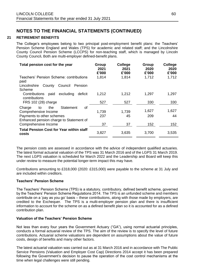#### **21 RETIREMENT BENEFITS**

The College's employees belong to two principal post-employment benefit plans: the Teachers' Pension Scheme England and Wales (TPS) for academic and related staff; and the Lincolnshire County Council Pension Scheme (LCCPS) for non-teaching staff, which is managed by Lincoln County Council**.** Both are multi-employer defined-benefit plans.

| Total pension cost for the year                                       | Group<br>2021<br>£'000 | <b>College</b><br>2021<br>£'000 | Group<br>2020<br>£'000 | <b>College</b><br>2020<br>£'000 |
|-----------------------------------------------------------------------|------------------------|---------------------------------|------------------------|---------------------------------|
| Teachers' Pension Scheme: contributions<br>paid                       | 1,814                  | 1,814                           | 1,712                  | 1,712                           |
| Lincolnshire<br>County<br>Council<br>Pension<br>Scheme                |                        |                                 |                        |                                 |
| excluding<br>Contributions<br>deficit<br>paid<br>contributions        | 1,212                  | 1,212                           | 1,297                  | 1,297                           |
| FRS 102 (28) charge                                                   | 527                    | 527                             | 330                    | 330                             |
| of<br>the<br><b>Statement</b><br>Charge<br>to<br>Comprehensive Income | 1,739                  | 1,739                           | 1,627                  | 1,627                           |
| Payments to other schemes<br>Enhanced pension charge to Statement of  | 237                    | 45                              | 209                    | 44                              |
| Comprehensive Income                                                  | 37                     | 37                              | 152                    | 152                             |
| <b>Total Pension Cost for Year within staff</b><br>costs              | 3,827                  | 3,635                           | 3,700                  | 3,535                           |

The pension costs are assessed in accordance with the advice of independent qualified actuaries. The latest formal actuarial valuation of the TPS was 31 March 2016 and of the LGPS 31 March 2019. The next LGPS valuation is scheduled for March 2022 and the Leadership and Board will keep this under review to measure the potential longer-term impact this may have.

Contributions amounting to £318,000 (2020: £315,000) were payable to the scheme at 31 July and are included within creditors.

#### **Teachers' Pension Scheme**

The Teachers' Pension Scheme (TPS) is a statutory, contributory, defined benefit scheme, governed by the Teachers' Pension Scheme Regulations 2014. The TPS is an unfunded scheme and members contribute on a 'pay as you go' basis – these contributions, along with those made by employers, are credited to the Exchequer. The TPS is a multi-employer pension plan and there is insufficient information to account for the scheme on as a defined benefit plan so it is accounted for as a defined contribution plan.

#### **Valuation of the Teachers' Pension Scheme**

Not less than every four years the Government Actuary ("GA"), using normal actuarial principles, conducts a formal actuarial review of the TPS. The aim of the review is to specify the level of future contributions. Actuarial scheme valuations are dependent on assumptions about the value of future costs, design of benefits and many other factors.

The latest actuarial valuation was carried out as at 31 March 2016 and in accordance with The Public Service Pensions (Valuation and Employer Cost Cap) Directions 2014 accept it has been prepared following the Government's decision to pause the operation of the cost control mechanisms at the time when legal challenges were still pending.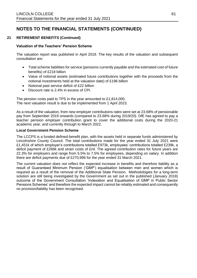### **21 RETIREMENT BENEFITS (Continued)**

### **Valuation of the Teachers' Pension Scheme**

The valuation report was published in April 2019. The key results of the valuation and subsequent consultation are:

- Total scheme liabilities for service (pensions currently payable and the estimated cost of future benefits) of £218 billion
- Value of notional assets (estimated future contributions together with the proceeds from the notional investments held at the valuation date) of £196 billion
- Notional past service deficit of £22 billion
- Discount rate is 2.4% in excess of CPI.

The pension costs paid to TPS in the year amounted to £1,814,000. The next valuation result is due to be implemented from 1 April 2023.

As a result of the valuation, from new employer contributions rates were set at 23.68% of pensionable pay from September 2019 onwards (compared to 23.68% during 2019/20). DfE has agreed to pay a teacher pension employer contribution grant to cover the additional costs during the 2020-21 academic year, and currently through to March 2022.

#### **Local Government Pension Scheme**

The LCCPS is a funded defined-benefit plan, with the assets held in separate funds administered by Lincolnshire County Council. The total contributions made for the year ended 31 July 2021 were £1,451k of which employer's contributions totalled £973k, employees' contributions totalled £239k, a deficit payment of £266k and strain costs of £nil. The agreed contribution rates for future years are 22.3% for employers and range from 5.5% to 7.5% for employees, depending on salary. In addition there are deficit payments due of £270,996 for the year ended 31 March 2021.

The current valuation does not reflect the expected increase in benefits and therefore liability as a result of Guaranteed Minimum Pension ('GMP') equalisation between men and women which is required as a result of the removal of the Additional State Pension. Methodologies for a long-term solution are still being investigated by the Government as set out in the published (January 2018) outcome of the Government Consultation 'Indexation and Equalisation of GMP in Public Sector Pensions Schemes' and therefore the expected impact cannot be reliably estimated and consequently no provision/liability has been recognised.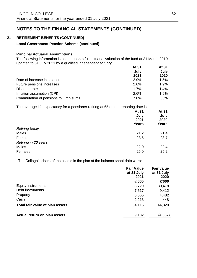### **21 RETIREMENT BENEFITS (CONTINUED)**

#### **Local Government Pension Scheme (continued)**

#### **Principal Actuarial Assumptions**

The following information is based upon a full actuarial valuation of the fund at 31 March 2019 updated to 31 July 2021 by a qualified independent actuary. **At 31 At 31** 

|                                      | At 31 | AI 31<br>July<br>2020 |
|--------------------------------------|-------|-----------------------|
|                                      | July  |                       |
|                                      | 2021  |                       |
| Rate of increase in salaries         | 2.9%  | 1.5%                  |
| Future pensions increases            | 2.6%  | 1.9%                  |
| Discount rate                        | 1.7%  | 1.4%                  |
| Inflation assumption (CPI)           | 2.6%  | 1.9%                  |
| Commutation of pensions to lump sums | 50%   | 50%                   |

The average life expectancy for a pensioner retiring at 65 on the reporting date is:

| ັ<br>. .<br>-<br>. .<br>ັ | ັ<br>At 31<br>July<br>2021<br><b>Years</b> | At 31<br>July<br>2020<br><b>Years</b> |
|---------------------------|--------------------------------------------|---------------------------------------|
| Retiring today            |                                            |                                       |
| Males                     | 21.2                                       | 21.4                                  |
| Females                   | 23.6                                       | 23.7                                  |
| Retiring in 20 years      |                                            |                                       |
| Males                     | 22.0                                       | 22.4                                  |
| Females                   | 25.0                                       | 25.2                                  |

The College's share of the assets in the plan at the balance sheet date were:

|                                 | <b>Fair Value</b><br>at 31 July<br>2021 | <b>Fair value</b><br>at 31 July<br>2020 |
|---------------------------------|-----------------------------------------|-----------------------------------------|
|                                 | £'000                                   | £'000                                   |
| Equity instruments              | 38,720                                  | 30,478                                  |
| Debt instruments                | 7,617                                   | 9,412                                   |
| Property                        | 5,565                                   | 4,482                                   |
| Cash                            | 2,213                                   | 448                                     |
| Total fair value of plan assets | 54,115                                  | 44,820                                  |
| Actual return on plan assets    | 9,182                                   | (4,382)                                 |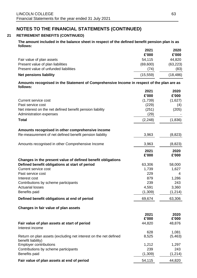## **21 RETIREMENT BENEFITS (CONTINUED)**

### **The amount included in the balance sheet in respect of the defined benefit pension plan is as follows:**

|                                       | 2021      | 2020      |
|---------------------------------------|-----------|-----------|
|                                       | £'000     | £'000     |
| Fair value of plan assets             | 54,115    | 44,820    |
| Present value of plan liabilities     | (69,600)  | (63, 223) |
| Present value of unfunded liabilities | (74)      | (83)      |
| <b>Net pensions liability</b>         | (15, 559) | (18, 486) |

#### **Amounts recognised in the Statement of Comprehensive Income in respect of the plan are as follows:**

|                                                                                        | 2021          | 2020          |
|----------------------------------------------------------------------------------------|---------------|---------------|
|                                                                                        | £'000         | £'000         |
| <b>Current service cost</b>                                                            | (1,739)       | (1,627)       |
| Past service cost                                                                      | (229)         | (4)           |
| Net interest on the net defined benefit pension liability                              | (251)         | (205)         |
| Administration expenses                                                                | (29)          |               |
| <b>Total</b>                                                                           | (2, 248)      | (1,836)       |
| Amounts recognised in other comprehensive income                                       |               |               |
| Re-measurement of net defined benefit pension liability                                | 3,963         | (8,823)       |
| Amounts recognised in other Comprehensive Income                                       | 3,963         | (8,823)       |
|                                                                                        | 2021<br>£'000 | 2020<br>£'000 |
| Changes in the present value of defined benefit obligations                            |               |               |
| Defined benefit obligations at start of period                                         | 63,306        | 58,000        |
| <b>Current service cost</b>                                                            | 1,739         | 1,627         |
| Past service cost                                                                      | 229           | 4             |
| Interest cost                                                                          | 879           | 1,286         |
| Contributions by scheme participants                                                   | 239           | 243           |
| <b>Actuarial losses</b>                                                                | 4,591         | 3,360         |
| Benefits paid                                                                          | (1,309)       | (1, 214)      |
| Defined benefit obligations at end of period                                           | 69,674        | 63,306        |
| Changes in fair value of plan assets                                                   |               |               |
|                                                                                        | 2021          | 2020          |
|                                                                                        | £'000         | £'000         |
| Fair value of plan assets at start of period<br>Interest income                        | 44,820        | 48,876        |
|                                                                                        | 628           | 1,081         |
| Return on plan assets (excluding net interest on the net defined<br>benefit liability) | 8,525         | (5, 463)      |
| <b>Employer contributions</b>                                                          | 1,212         | 1,297         |
| Contributions by scheme participants                                                   | 239           | 243           |
| Benefits paid                                                                          | (1,309)       | (1, 214)      |
| Fair value of plan assets at end of period                                             | 54,115        | 44,820        |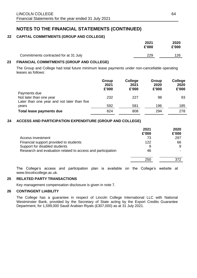## **22 CAPITAL COMMITMENTS (GROUP AND COLLEGE)**

|                                       | 2021<br>£'000 | 2020<br>£'000 |
|---------------------------------------|---------------|---------------|
| Commitments contracted for at 31 July | 229           | 126           |

### **23 FINANCIAL COMMITMENTS (GROUP AND COLLEGE)**

The Group and College had total future minimum lease payments under non-cancellable operating leases as follows:

|                                                                                        | Group<br>2021<br>£'000 | College<br>2021<br>£'000 | Group<br>2020<br>£'000 | College<br>2020<br>£'000 |
|----------------------------------------------------------------------------------------|------------------------|--------------------------|------------------------|--------------------------|
| Payments due<br>Not later than one year<br>Later than one year and not later than five | 232                    | 227                      | 98                     | 93                       |
| years                                                                                  | 592                    | 581                      | 196                    | 185                      |
| Total lease payments due                                                               | 824                    | 808                      | 294                    | 278                      |

### **24 ACCESS AND PARTICIPATION EXPENDITURE (GROUP AND COLLEGE)**

|                                                             | 2021<br>£'000 | 2020<br>£'000 |
|-------------------------------------------------------------|---------------|---------------|
| Access investment                                           | 73            | 297           |
| Financial support provided to students                      | 122           | 66            |
| Support for disabled students                               | 9             | 9             |
| Research and evaluation related to access and participation | 46            |               |
|                                                             | 250           | 372           |

The College's access and participation plan is available on the College's website at www.lincolncollege.ac.uk.

### **25 RELATED PARTY TRANSACTIONS**

Key management compensation disclosure is given in note 7.

#### **26 CONTINGENT LIABILITY**

The College has a guarantee in respect of Lincoln College International LLC with National Westminster Bank, provided by the Secretary of State acting by the Export Credits Guarantee Department, for 1,599,000 Saudi Arabian Riyals (£307,000) as at 31 July 2021.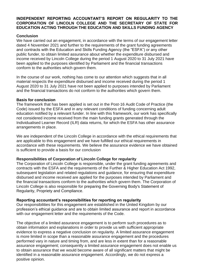## **INDEPENDENT REPORTING ACCOUNTANT'S REPORT ON REGULARITY TO THE CORPORATION OF LINCOLN COLLEGE AND THE SECRETARY OF STATE FOR EDUCATION ACTING THROUGH THE EDUCATION AND SKILLS FUNDING AGENCY**

### **Conclusion**

We have carried out an engagement, in accordance with the terms of our engagement letter dated 4 November 2021 and further to the requirements of the grant funding agreements and contracts with the Education and Skills Funding Agency (the "ESFA") or any other public funder, to obtain limited assurance about whether the expenditure disbursed and income received by Lincoln College during the period 1 August 2020 to 31 July 2021 have been applied to the purposes identified by Parliament and the financial transactions conform to the authorities which govern them.

In the course of our work, nothing has come to our attention which suggests that in all material respects the expenditure disbursed and income received during the period 1 August 2020 to 31 July 2021 have not been applied to purposes intended by Parliament and the financial transactions do not conform to the authorities which govern them.

### **Basis for conclusion**

The framework that has been applied is set out in the Post-16 Audit Code of Practice (the Code) issued by the ESFA and in any relevant conditions of funding concerning adult education notified by a relevant funder. In line with this framework, our work has specifically not considered income received from the main funding grants generated through the Individualised Learner Record (ILR) data returns, for which the ESFA has other assurance arrangements in place.

We are independent of the Lincoln College in accordance with the ethical requirements that are applicable to this engagement and we have fulfilled our ethical requirements in accordance with these requirements. We believe the assurance evidence we have obtained is sufficient to provide a basis for our conclusion

## **Responsibilities of Corporation of Lincoln College for regularity**

The Corporation of Lincoln College is responsible, under the grant funding agreements and contracts with the ESFA and the requirements of the Further & Higher Education Act 1992, subsequent legislation and related regulations and guidance, for ensuring that expenditure disbursed and income received are applied for the purposes intended by Parliament and the financial transactions conform to the authorities which govern them. The Corporation of Lincoln College is also responsible for preparing the Governing Body's Statement of Regularity, Propriety and Compliance.

## **Reporting accountant's responsibilities for reporting on regularity**

Our responsibilities for this engagement are established in the United Kingdom by our profession's ethical guidance and are to obtain limited assurance and report in accordance with our engagement letter and the requirements of the Code.

The objective of a limited assurance engagement is to perform such procedures as to obtain information and explanations in order to provide us with sufficient appropriate evidence to express a negative conclusion on regularity. A limited assurance engagement is more limited in scope than a reasonable assurance engagement and the procedures performed vary in nature and timing from, and are less in extent than for a reasonable assurance engagement; consequently a limited assurance engagement does not enable us to obtain assurance that we would become aware of all significant matters that might be identified in a reasonable assurance engagement. Accordingly, we do not express a positive opinion.